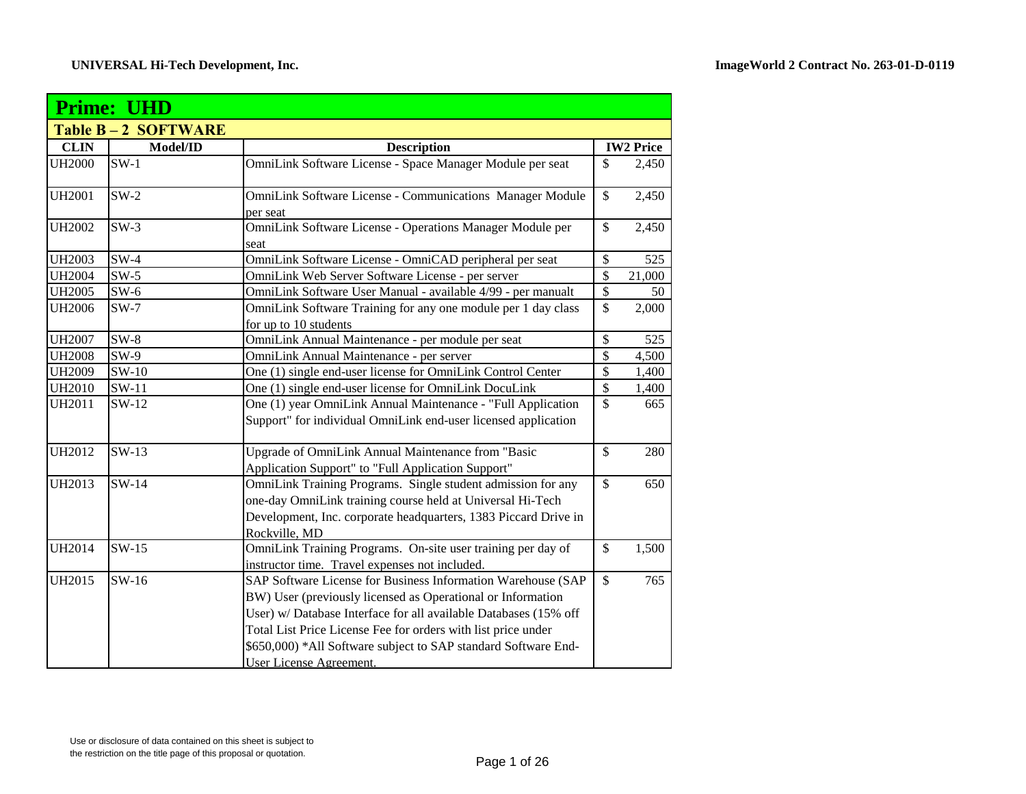| <b>Prime: UHD</b> |                           |                                                                                                                                                                                                                                                                                                                                                               |                          |                  |
|-------------------|---------------------------|---------------------------------------------------------------------------------------------------------------------------------------------------------------------------------------------------------------------------------------------------------------------------------------------------------------------------------------------------------------|--------------------------|------------------|
|                   | <b>Table B-2 SOFTWARE</b> |                                                                                                                                                                                                                                                                                                                                                               |                          |                  |
| <b>CLIN</b>       | Model/ID                  | <b>Description</b>                                                                                                                                                                                                                                                                                                                                            |                          | <b>IW2 Price</b> |
| <b>UH2000</b>     | $SW-1$                    | OmniLink Software License - Space Manager Module per seat                                                                                                                                                                                                                                                                                                     | $\mathbb{S}$             | 2,450            |
| <b>UH2001</b>     | $SW-2$                    | <b>OmniLink Software License - Communications Manager Module</b><br>per seat                                                                                                                                                                                                                                                                                  | $\mathbb{S}$             | 2,450            |
| <b>UH2002</b>     | $SW-3$                    | OmniLink Software License - Operations Manager Module per<br>seat                                                                                                                                                                                                                                                                                             | $\mathbb{S}$             | 2,450            |
| <b>UH2003</b>     | $SW-4$                    | OmniLink Software License - OmniCAD peripheral per seat                                                                                                                                                                                                                                                                                                       | \$                       | 525              |
| <b>UH2004</b>     | $SW-5$                    | OmniLink Web Server Software License - per server                                                                                                                                                                                                                                                                                                             | $\overline{\mathcal{S}}$ | 21,000           |
| <b>UH2005</b>     | $SW-6$                    | OmniLink Software User Manual - available 4/99 - per manualt                                                                                                                                                                                                                                                                                                  | \$                       | 50               |
| <b>UH2006</b>     | $SW-7$                    | OmniLink Software Training for any one module per 1 day class<br>for up to 10 students                                                                                                                                                                                                                                                                        | \$                       | 2,000            |
| <b>UH2007</b>     | $SW-8$                    | OmniLink Annual Maintenance - per module per seat                                                                                                                                                                                                                                                                                                             | $\mathbb{S}$             | 525              |
| <b>UH2008</b>     | $SW-9$                    | OmniLink Annual Maintenance - per server                                                                                                                                                                                                                                                                                                                      | \$                       | 4,500            |
| <b>UH2009</b>     | SW-10                     | One (1) single end-user license for OmniLink Control Center                                                                                                                                                                                                                                                                                                   | $\mathbb{S}$             | 1,400            |
| <b>UH2010</b>     | $SW-11$                   | One (1) single end-user license for OmniLink DocuLink                                                                                                                                                                                                                                                                                                         | $\mathbb{S}$             | 1,400            |
| <b>UH2011</b>     | $SW-12$                   | One (1) year OmniLink Annual Maintenance - "Full Application<br>Support" for individual OmniLink end-user licensed application                                                                                                                                                                                                                                | $\mathbb{S}$             | 665              |
| <b>UH2012</b>     | $SW-13$                   | Upgrade of OmniLink Annual Maintenance from "Basic<br>Application Support" to "Full Application Support"                                                                                                                                                                                                                                                      | $\mathbb{S}$             | 280              |
| UH2013            | $SW-14$                   | OmniLink Training Programs. Single student admission for any<br>one-day OmniLink training course held at Universal Hi-Tech<br>Development, Inc. corporate headquarters, 1383 Piccard Drive in<br>Rockville, MD                                                                                                                                                | $\mathbb{S}$             | 650              |
| <b>UH2014</b>     | $SW-15$                   | OmniLink Training Programs. On-site user training per day of<br>instructor time. Travel expenses not included.                                                                                                                                                                                                                                                | $\mathbb{S}$             | 1,500            |
| UH2015            | $SW-16$                   | SAP Software License for Business Information Warehouse (SAP<br>BW) User (previously licensed as Operational or Information<br>User) w/ Database Interface for all available Databases (15% off<br>Total List Price License Fee for orders with list price under<br>\$650,000) *All Software subject to SAP standard Software End-<br>User License Agreement. | $\mathbb{S}$             | 765              |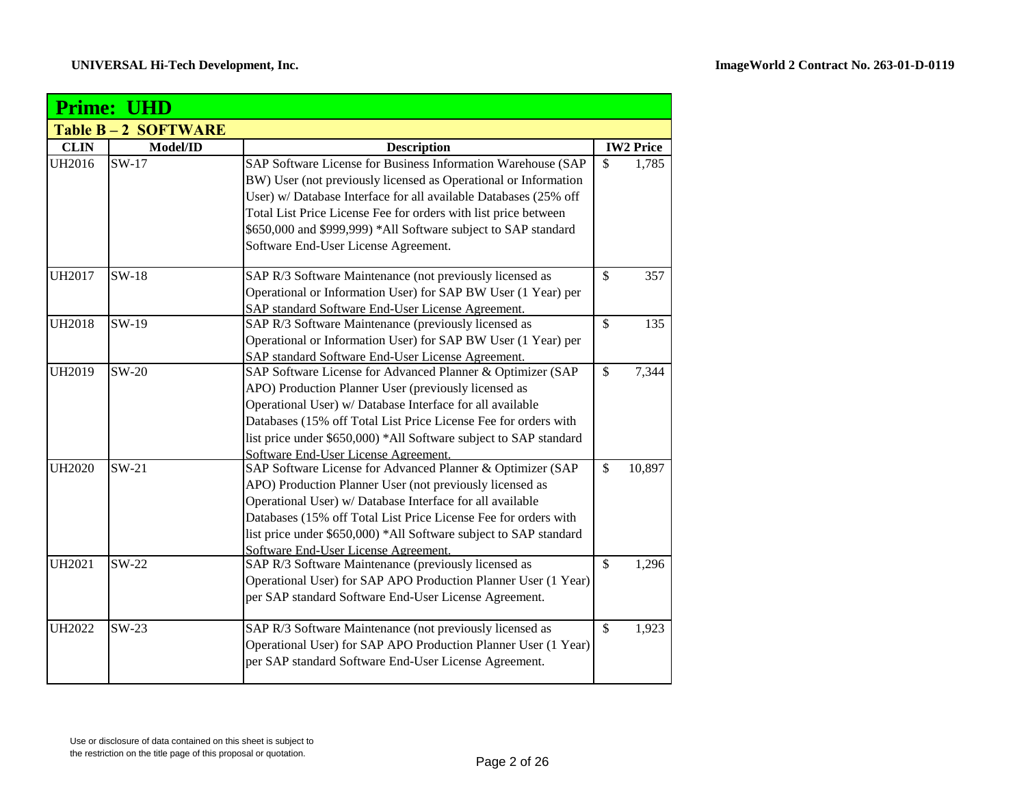|               | <b>Prime: UHD</b>         |                                                                   |               |                  |
|---------------|---------------------------|-------------------------------------------------------------------|---------------|------------------|
|               | <b>Table B-2 SOFTWARE</b> |                                                                   |               |                  |
| <b>CLIN</b>   | Model/ID                  | <b>Description</b>                                                |               | <b>IW2 Price</b> |
| <b>UH2016</b> | $SW-17$                   | SAP Software License for Business Information Warehouse (SAP      | \$            | 1,785            |
|               |                           | BW) User (not previously licensed as Operational or Information   |               |                  |
|               |                           | User) w/ Database Interface for all available Databases (25% off  |               |                  |
|               |                           | Total List Price License Fee for orders with list price between   |               |                  |
|               |                           | \$650,000 and \$999,999) *All Software subject to SAP standard    |               |                  |
|               |                           | Software End-User License Agreement.                              |               |                  |
| <b>UH2017</b> | $SW-18$                   | SAP R/3 Software Maintenance (not previously licensed as          | $\mathcal{S}$ | 357              |
|               |                           | Operational or Information User) for SAP BW User (1 Year) per     |               |                  |
|               |                           | SAP standard Software End-User License Agreement.                 |               |                  |
| <b>UH2018</b> | SW-19                     | SAP R/3 Software Maintenance (previously licensed as              | $\mathsf{\$}$ | 135              |
|               |                           | Operational or Information User) for SAP BW User (1 Year) per     |               |                  |
|               |                           | SAP standard Software End-User License Agreement.                 |               |                  |
| <b>UH2019</b> | $SW-20$                   | SAP Software License for Advanced Planner & Optimizer (SAP        | $\mathbb{S}$  | 7,344            |
|               |                           | APO) Production Planner User (previously licensed as              |               |                  |
|               |                           | Operational User) w/ Database Interface for all available         |               |                  |
|               |                           | Databases (15% off Total List Price License Fee for orders with   |               |                  |
|               |                           | list price under \$650,000) *All Software subject to SAP standard |               |                  |
|               |                           | Software End-User License Agreement.                              |               |                  |
| <b>UH2020</b> | $SW-21$                   | SAP Software License for Advanced Planner & Optimizer (SAP        | $\mathsf{\$}$ | 10,897           |
|               |                           | APO) Production Planner User (not previously licensed as          |               |                  |
|               |                           | Operational User) w/ Database Interface for all available         |               |                  |
|               |                           | Databases (15% off Total List Price License Fee for orders with   |               |                  |
|               |                           | list price under \$650,000) *All Software subject to SAP standard |               |                  |
|               |                           | Software End-User License Agreement.                              |               |                  |
| <b>UH2021</b> | $SW-22$                   | SAP R/3 Software Maintenance (previously licensed as              | $\mathcal{S}$ | 1,296            |
|               |                           | Operational User) for SAP APO Production Planner User (1 Year)    |               |                  |
|               |                           | per SAP standard Software End-User License Agreement.             |               |                  |
| <b>UH2022</b> | $SW-23$                   | SAP R/3 Software Maintenance (not previously licensed as          | $\mathbb{S}$  | 1,923            |
|               |                           | Operational User) for SAP APO Production Planner User (1 Year)    |               |                  |
|               |                           | per SAP standard Software End-User License Agreement.             |               |                  |
|               |                           |                                                                   |               |                  |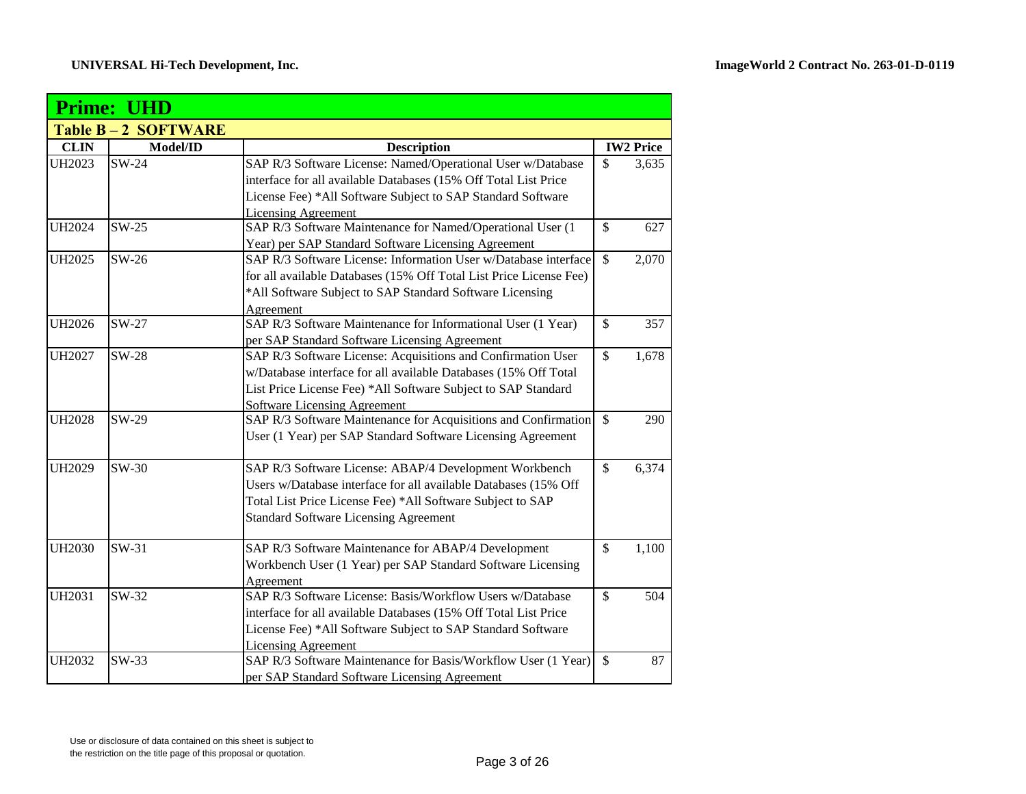|               | <b>Prime: UHD</b>         |                                                                    |                          |                  |  |
|---------------|---------------------------|--------------------------------------------------------------------|--------------------------|------------------|--|
|               | <b>Table B-2 SOFTWARE</b> |                                                                    |                          |                  |  |
| <b>CLIN</b>   | Model/ID                  | <b>Description</b>                                                 |                          | <b>IW2 Price</b> |  |
| <b>UH2023</b> | $SW-24$                   | SAP R/3 Software License: Named/Operational User w/Database        | $\mathcal{S}$            | 3,635            |  |
|               |                           | interface for all available Databases (15% Off Total List Price    |                          |                  |  |
|               |                           | License Fee) *All Software Subject to SAP Standard Software        |                          |                  |  |
|               |                           | <b>Licensing Agreement</b>                                         |                          |                  |  |
| <b>UH2024</b> | $SW-25$                   | SAP R/3 Software Maintenance for Named/Operational User (1         | $\mathcal{S}$            | 627              |  |
|               |                           | Year) per SAP Standard Software Licensing Agreement                |                          |                  |  |
| <b>UH2025</b> | $SW-26$                   | SAP R/3 Software License: Information User w/Database interface    | $\mathcal{S}$            | 2,070            |  |
|               |                           | for all available Databases (15% Off Total List Price License Fee) |                          |                  |  |
|               |                           | *All Software Subject to SAP Standard Software Licensing           |                          |                  |  |
|               |                           | Agreement                                                          |                          |                  |  |
| <b>UH2026</b> | SW-27                     | SAP R/3 Software Maintenance for Informational User (1 Year)       | \$                       | 357              |  |
|               |                           | per SAP Standard Software Licensing Agreement                      |                          |                  |  |
| <b>UH2027</b> | <b>SW-28</b>              | SAP R/3 Software License: Acquisitions and Confirmation User       | $\mathcal{S}$            | 1,678            |  |
|               |                           | w/Database interface for all available Databases (15% Off Total    |                          |                  |  |
|               |                           | List Price License Fee) *All Software Subject to SAP Standard      |                          |                  |  |
|               |                           | <b>Software Licensing Agreement</b>                                |                          |                  |  |
| <b>UH2028</b> | SW-29                     | SAP R/3 Software Maintenance for Acquisitions and Confirmation     | $\mathcal{S}$            | 290              |  |
|               |                           | User (1 Year) per SAP Standard Software Licensing Agreement        |                          |                  |  |
| <b>UH2029</b> | $SW-30$                   | SAP R/3 Software License: ABAP/4 Development Workbench             | $\mathbf{\hat{S}}$       | 6,374            |  |
|               |                           | Users w/Database interface for all available Databases (15% Off    |                          |                  |  |
|               |                           | Total List Price License Fee) *All Software Subject to SAP         |                          |                  |  |
|               |                           | <b>Standard Software Licensing Agreement</b>                       |                          |                  |  |
| <b>UH2030</b> | $SW-31$                   | SAP R/3 Software Maintenance for ABAP/4 Development                | $\mathbf{\hat{S}}$       | 1,100            |  |
|               |                           | Workbench User (1 Year) per SAP Standard Software Licensing        |                          |                  |  |
|               |                           | Agreement                                                          |                          |                  |  |
| <b>UH2031</b> | $SW-32$                   | SAP R/3 Software License: Basis/Workflow Users w/Database          | $\overline{\mathcal{S}}$ | 504              |  |
|               |                           | interface for all available Databases (15% Off Total List Price    |                          |                  |  |
|               |                           | License Fee) *All Software Subject to SAP Standard Software        |                          |                  |  |
|               |                           | <b>Licensing Agreement</b>                                         |                          |                  |  |
| <b>UH2032</b> | $SW-33$                   | SAP R/3 Software Maintenance for Basis/Workflow User (1 Year)      | $\mathcal{S}$            | 87               |  |
|               |                           | per SAP Standard Software Licensing Agreement                      |                          |                  |  |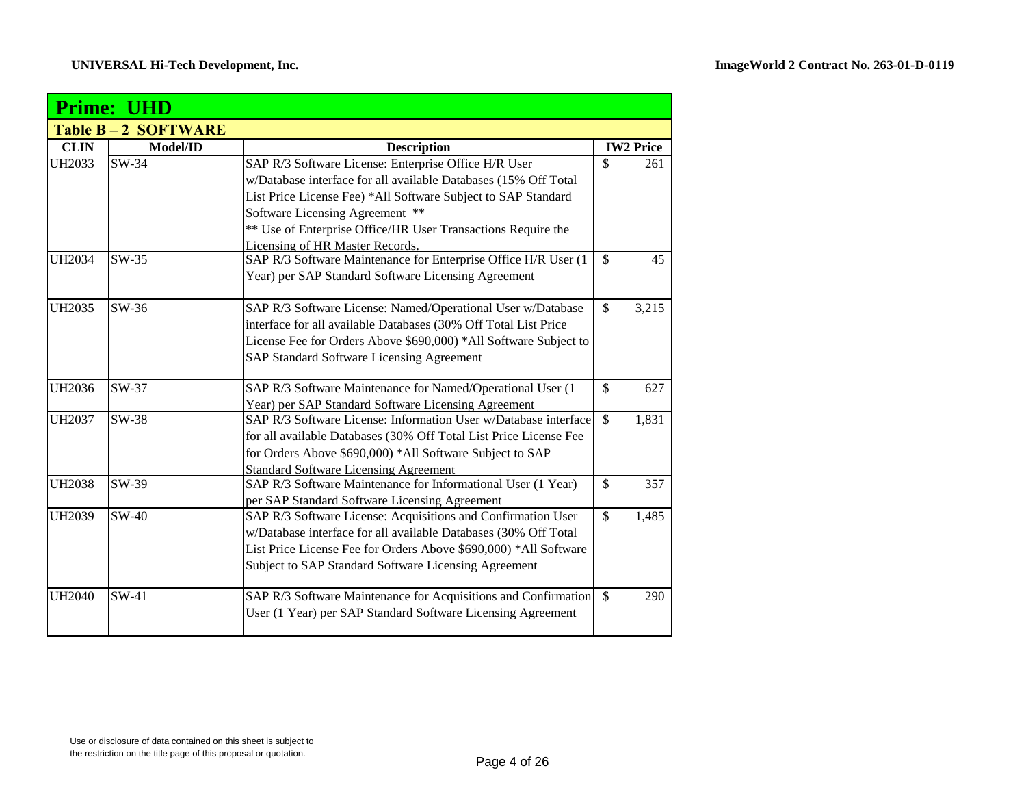|               | <b>Prime: UHD</b>         |                                                                   |              |                  |  |
|---------------|---------------------------|-------------------------------------------------------------------|--------------|------------------|--|
|               | <b>Table B-2 SOFTWARE</b> |                                                                   |              |                  |  |
| <b>CLIN</b>   | Model/ID                  | <b>Description</b>                                                |              | <b>IW2 Price</b> |  |
| <b>UH2033</b> | $SW-34$                   | SAP R/3 Software License: Enterprise Office H/R User              | \$           | 261              |  |
|               |                           | w/Database interface for all available Databases (15% Off Total   |              |                  |  |
|               |                           | List Price License Fee) *All Software Subject to SAP Standard     |              |                  |  |
|               |                           | Software Licensing Agreement **                                   |              |                  |  |
|               |                           | ** Use of Enterprise Office/HR User Transactions Require the      |              |                  |  |
|               |                           | Licensing of HR Master Records.                                   |              |                  |  |
| UH2034        | $SW-35$                   | SAP R/3 Software Maintenance for Enterprise Office H/R User (1    | \$           | 45               |  |
|               |                           | Year) per SAP Standard Software Licensing Agreement               |              |                  |  |
| <b>UH2035</b> | SW-36                     | SAP R/3 Software License: Named/Operational User w/Database       | \$           | 3,215            |  |
|               |                           | interface for all available Databases (30% Off Total List Price   |              |                  |  |
|               |                           | License Fee for Orders Above \$690,000) *All Software Subject to  |              |                  |  |
|               |                           | SAP Standard Software Licensing Agreement                         |              |                  |  |
| UH2036        | SW-37                     | SAP R/3 Software Maintenance for Named/Operational User (1        | \$           | 627              |  |
|               |                           | Year) per SAP Standard Software Licensing Agreement               |              |                  |  |
| <b>UH2037</b> | SW-38                     | SAP R/3 Software License: Information User w/Database interface   | \$           | 1,831            |  |
|               |                           | for all available Databases (30% Off Total List Price License Fee |              |                  |  |
|               |                           | for Orders Above \$690,000) *All Software Subject to SAP          |              |                  |  |
|               |                           | <b>Standard Software Licensing Agreement</b>                      |              |                  |  |
| <b>UH2038</b> | SW-39                     | SAP R/3 Software Maintenance for Informational User (1 Year)      | \$           | 357              |  |
|               |                           | per SAP Standard Software Licensing Agreement                     |              |                  |  |
| <b>UH2039</b> | $SW-40$                   | SAP R/3 Software License: Acquisitions and Confirmation User      | \$           | 1,485            |  |
|               |                           | w/Database interface for all available Databases (30% Off Total   |              |                  |  |
|               |                           | List Price License Fee for Orders Above \$690,000) *All Software  |              |                  |  |
|               |                           | Subject to SAP Standard Software Licensing Agreement              |              |                  |  |
| <b>UH2040</b> | $SW-41$                   | SAP R/3 Software Maintenance for Acquisitions and Confirmation    | $\mathbb{S}$ | 290              |  |
|               |                           | User (1 Year) per SAP Standard Software Licensing Agreement       |              |                  |  |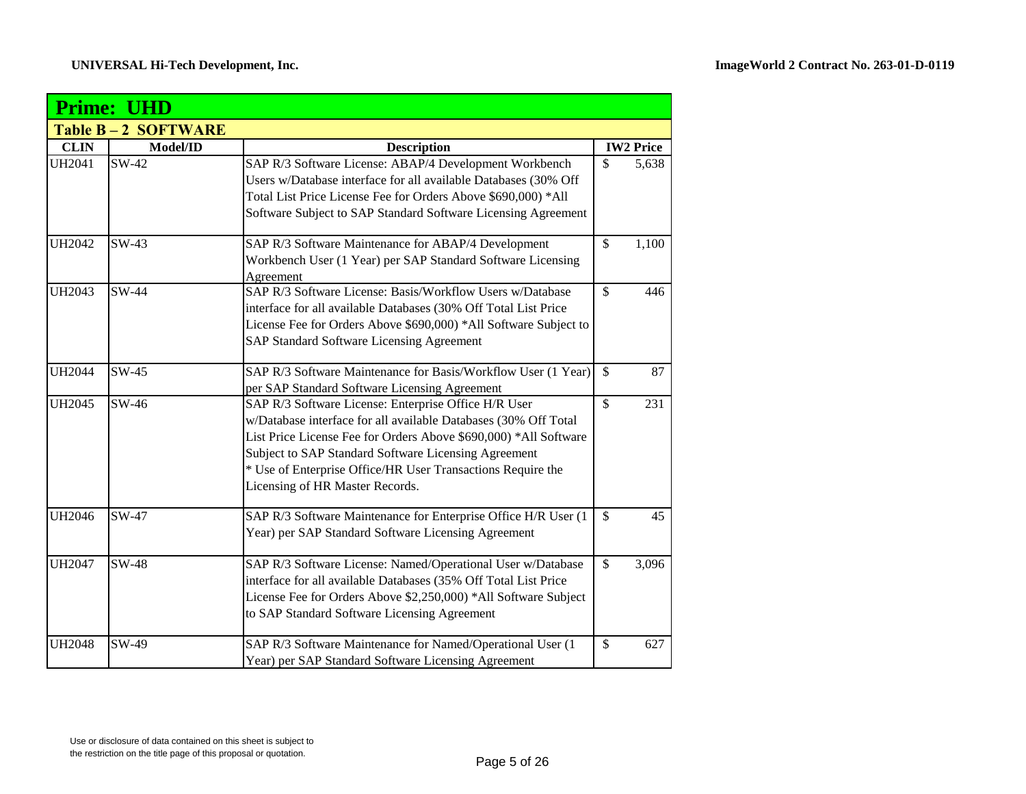|               | <b>Prime: UHD</b>  |                                                                          |               |                  |  |  |
|---------------|--------------------|--------------------------------------------------------------------------|---------------|------------------|--|--|
|               | Table B-2 SOFTWARE |                                                                          |               |                  |  |  |
| <b>CLIN</b>   | Model/ID           | <b>Description</b>                                                       |               | <b>IW2 Price</b> |  |  |
| UH2041        | SW-42              | SAP R/3 Software License: ABAP/4 Development Workbench                   | $\mathsf{\$}$ | 5,638            |  |  |
|               |                    | Users w/Database interface for all available Databases (30% Off          |               |                  |  |  |
|               |                    | Total List Price License Fee for Orders Above \$690,000) *All            |               |                  |  |  |
|               |                    | Software Subject to SAP Standard Software Licensing Agreement            |               |                  |  |  |
| UH2042        | SW-43              | SAP R/3 Software Maintenance for ABAP/4 Development                      | $\mathsf{\$}$ | 1,100            |  |  |
|               |                    | Workbench User (1 Year) per SAP Standard Software Licensing<br>Agreement |               |                  |  |  |
| UH2043        | SW-44              | SAP R/3 Software License: Basis/Workflow Users w/Database                | $\mathbb{S}$  | 446              |  |  |
|               |                    | interface for all available Databases (30% Off Total List Price          |               |                  |  |  |
|               |                    | License Fee for Orders Above \$690,000) *All Software Subject to         |               |                  |  |  |
|               |                    | SAP Standard Software Licensing Agreement                                |               |                  |  |  |
| <b>UH2044</b> | SW-45              | SAP R/3 Software Maintenance for Basis/Workflow User (1 Year)            | $\mathcal{S}$ | 87               |  |  |
|               |                    | per SAP Standard Software Licensing Agreement                            |               |                  |  |  |
| UH2045        | SW-46              | SAP R/3 Software License: Enterprise Office H/R User                     | $\mathbb{S}$  | 231              |  |  |
|               |                    | w/Database interface for all available Databases (30% Off Total          |               |                  |  |  |
|               |                    | List Price License Fee for Orders Above \$690,000) *All Software         |               |                  |  |  |
|               |                    | Subject to SAP Standard Software Licensing Agreement                     |               |                  |  |  |
|               |                    | * Use of Enterprise Office/HR User Transactions Require the              |               |                  |  |  |
|               |                    | Licensing of HR Master Records.                                          |               |                  |  |  |
| UH2046        | SW-47              | SAP R/3 Software Maintenance for Enterprise Office H/R User (1           | $\mathcal{S}$ | 45               |  |  |
|               |                    | Year) per SAP Standard Software Licensing Agreement                      |               |                  |  |  |
| <b>UH2047</b> | SW-48              | SAP R/3 Software License: Named/Operational User w/Database              | $\mathbb{S}$  | 3,096            |  |  |
|               |                    | interface for all available Databases (35% Off Total List Price          |               |                  |  |  |
|               |                    | License Fee for Orders Above \$2,250,000) *All Software Subject          |               |                  |  |  |
|               |                    | to SAP Standard Software Licensing Agreement                             |               |                  |  |  |
| <b>UH2048</b> | SW-49              | SAP R/3 Software Maintenance for Named/Operational User (1               | \$            | 627              |  |  |
|               |                    | Year) per SAP Standard Software Licensing Agreement                      |               |                  |  |  |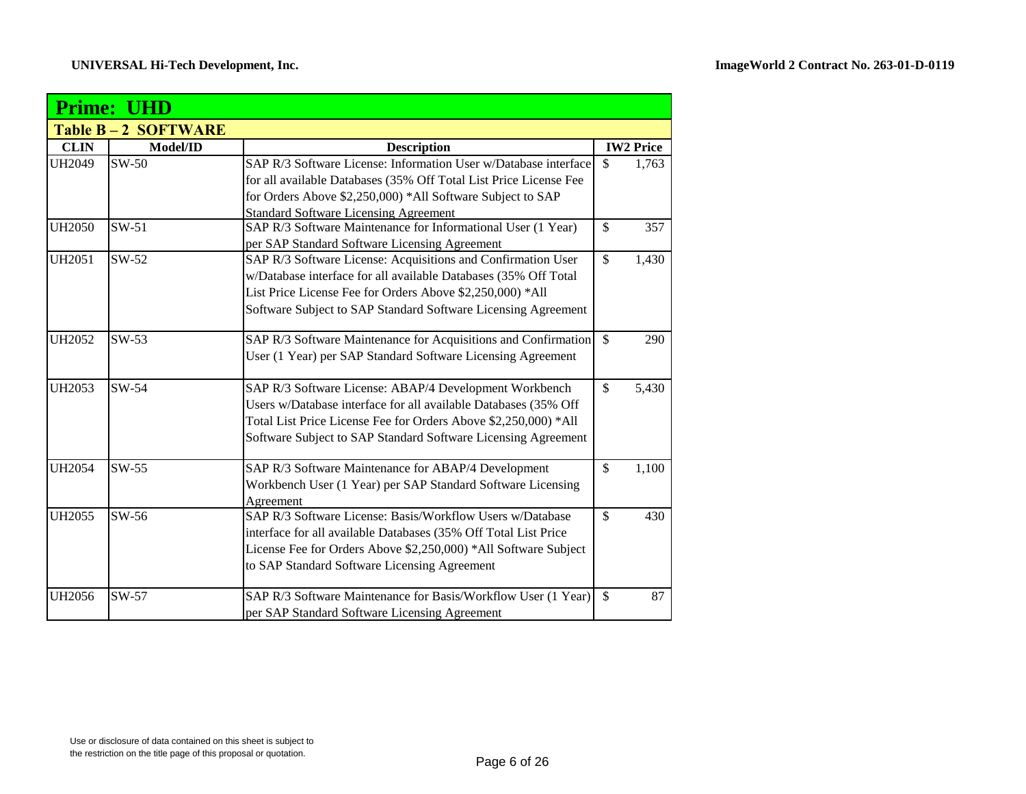|               | <b>Prime: UHD</b>         |                                                                   |                             |  |  |  |
|---------------|---------------------------|-------------------------------------------------------------------|-----------------------------|--|--|--|
|               | <b>Table B-2 SOFTWARE</b> |                                                                   |                             |  |  |  |
| <b>CLIN</b>   | Model/ID                  | <b>Description</b>                                                | <b>IW2</b> Price            |  |  |  |
| <b>UH2049</b> | $SW-50$                   | SAP R/3 Software License: Information User w/Database interface   | $\mathcal{S}$<br>1,763      |  |  |  |
|               |                           | for all available Databases (35% Off Total List Price License Fee |                             |  |  |  |
|               |                           | for Orders Above \$2,250,000) *All Software Subject to SAP        |                             |  |  |  |
|               |                           | <b>Standard Software Licensing Agreement</b>                      |                             |  |  |  |
| <b>UH2050</b> | $SW-51$                   | SAP R/3 Software Maintenance for Informational User (1 Year)      | \$<br>357                   |  |  |  |
|               |                           | per SAP Standard Software Licensing Agreement                     |                             |  |  |  |
| <b>UH2051</b> | $SW-52$                   | SAP R/3 Software License: Acquisitions and Confirmation User      | \$<br>1,430                 |  |  |  |
|               |                           | w/Database interface for all available Databases (35% Off Total   |                             |  |  |  |
|               |                           | List Price License Fee for Orders Above \$2,250,000) *All         |                             |  |  |  |
|               |                           | Software Subject to SAP Standard Software Licensing Agreement     |                             |  |  |  |
| <b>UH2052</b> | $SW-53$                   |                                                                   | 290                         |  |  |  |
|               |                           | User (1 Year) per SAP Standard Software Licensing Agreement       |                             |  |  |  |
| <b>UH2053</b> | $SW-54$                   | SAP R/3 Software License: ABAP/4 Development Workbench            | $\mathbf{\hat{S}}$<br>5,430 |  |  |  |
|               |                           | Users w/Database interface for all available Databases (35% Off   |                             |  |  |  |
|               |                           | Total List Price License Fee for Orders Above \$2,250,000) *All   |                             |  |  |  |
|               |                           | Software Subject to SAP Standard Software Licensing Agreement     |                             |  |  |  |
| <b>UH2054</b> | $SW-55$                   | SAP R/3 Software Maintenance for ABAP/4 Development               | $\mathcal{S}$<br>1,100      |  |  |  |
|               |                           | Workbench User (1 Year) per SAP Standard Software Licensing       |                             |  |  |  |
|               |                           | Agreement                                                         |                             |  |  |  |
| <b>UH2055</b> | SW-56                     | SAP R/3 Software License: Basis/Workflow Users w/Database         | $\mathbf{\hat{S}}$<br>430   |  |  |  |
|               |                           | interface for all available Databases (35% Off Total List Price   |                             |  |  |  |
|               |                           | License Fee for Orders Above \$2,250,000) *All Software Subject   |                             |  |  |  |
|               |                           | to SAP Standard Software Licensing Agreement                      |                             |  |  |  |
| <b>UH2056</b> | SW-57                     | SAP R/3 Software Maintenance for Basis/Workflow User (1 Year)     | $\mathbb{S}$<br>87          |  |  |  |
|               |                           | per SAP Standard Software Licensing Agreement                     |                             |  |  |  |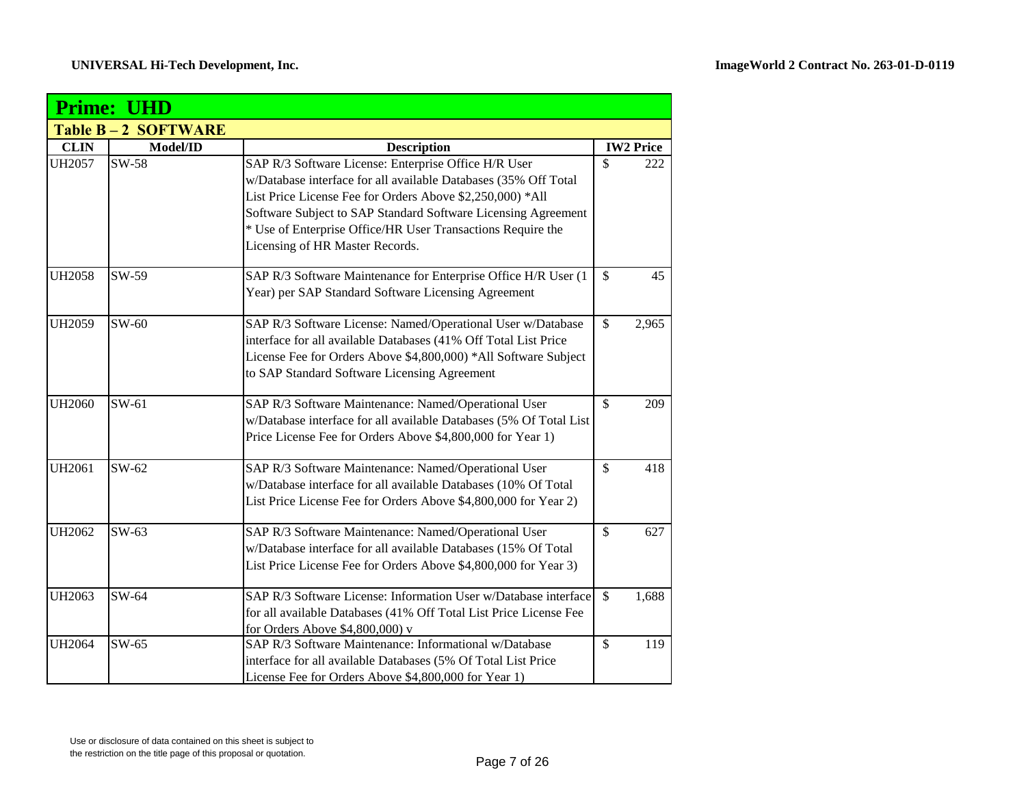|               | <b>Prime: UHD</b>         |                                                                                                                                                                                                                                                                                                                                                         |                           |                  |
|---------------|---------------------------|---------------------------------------------------------------------------------------------------------------------------------------------------------------------------------------------------------------------------------------------------------------------------------------------------------------------------------------------------------|---------------------------|------------------|
|               | <b>Table B-2 SOFTWARE</b> |                                                                                                                                                                                                                                                                                                                                                         |                           |                  |
| <b>CLIN</b>   | Model/ID                  | <b>Description</b>                                                                                                                                                                                                                                                                                                                                      |                           | <b>IW2 Price</b> |
| <b>UH2057</b> | SW-58                     | SAP R/3 Software License: Enterprise Office H/R User<br>w/Database interface for all available Databases (35% Off Total<br>List Price License Fee for Orders Above \$2,250,000) *All<br>Software Subject to SAP Standard Software Licensing Agreement<br>* Use of Enterprise Office/HR User Transactions Require the<br>Licensing of HR Master Records. | \$                        | 222              |
| <b>UH2058</b> | SW-59                     | SAP R/3 Software Maintenance for Enterprise Office H/R User (1<br>Year) per SAP Standard Software Licensing Agreement                                                                                                                                                                                                                                   | \$                        | 45               |
| <b>UH2059</b> | $SW-60$                   | SAP R/3 Software License: Named/Operational User w/Database<br>interface for all available Databases (41% Off Total List Price<br>License Fee for Orders Above \$4,800,000) *All Software Subject<br>to SAP Standard Software Licensing Agreement                                                                                                       | \$                        | 2,965            |
| <b>UH2060</b> | $SW-61$                   | SAP R/3 Software Maintenance: Named/Operational User<br>w/Database interface for all available Databases (5% Of Total List<br>Price License Fee for Orders Above \$4,800,000 for Year 1)                                                                                                                                                                | $\mathbb{S}$              | 209              |
| <b>UH2061</b> | SW-62                     | SAP R/3 Software Maintenance: Named/Operational User<br>w/Database interface for all available Databases (10% Of Total<br>List Price License Fee for Orders Above \$4,800,000 for Year 2)                                                                                                                                                               | \$                        | 418              |
| <b>UH2062</b> | $SW-63$                   | SAP R/3 Software Maintenance: Named/Operational User<br>w/Database interface for all available Databases (15% Of Total<br>List Price License Fee for Orders Above \$4,800,000 for Year 3)                                                                                                                                                               | $\boldsymbol{\mathsf{S}}$ | 627              |
| UH2063        | SW-64                     | SAP R/3 Software License: Information User w/Database interface<br>for all available Databases (41% Off Total List Price License Fee<br>for Orders Above \$4,800,000) v                                                                                                                                                                                 | $\mathbb{S}$              | 1,688            |
| <b>UH2064</b> | SW-65                     | SAP R/3 Software Maintenance: Informational w/Database<br>interface for all available Databases (5% Of Total List Price<br>License Fee for Orders Above \$4,800,000 for Year 1)                                                                                                                                                                         | $\boldsymbol{\mathsf{S}}$ | 119              |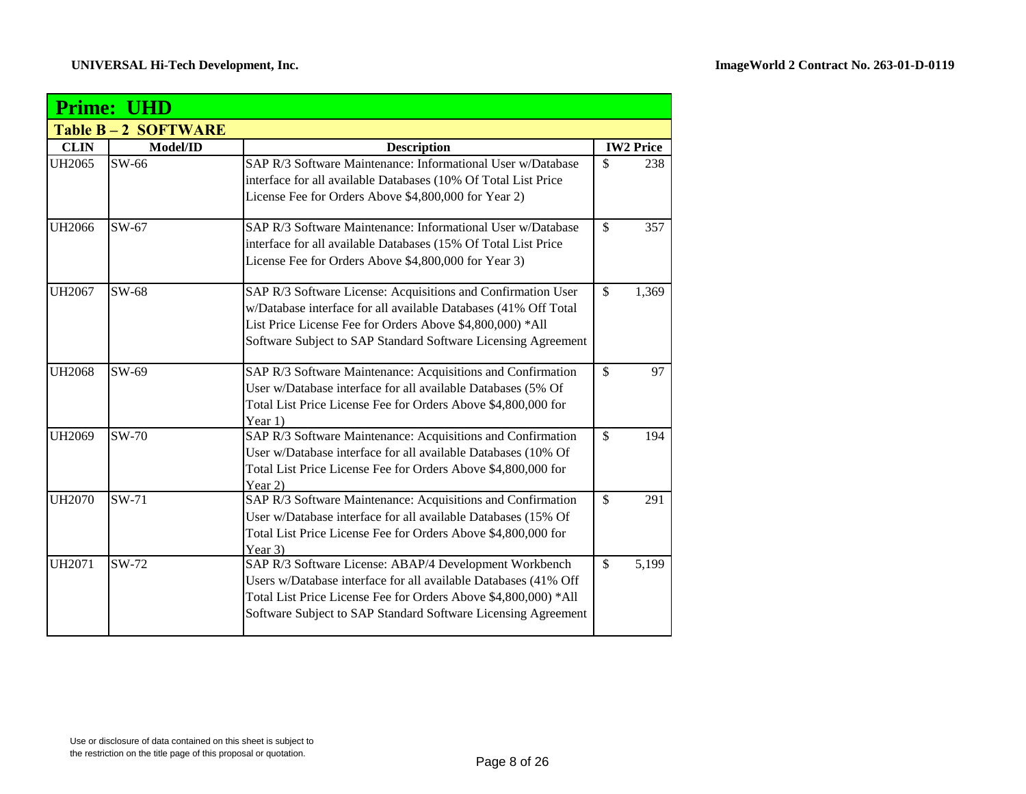|               | <b>Prime: UHD</b>         |                                                                                                                                                                                                                                                               |               |                  |  |
|---------------|---------------------------|---------------------------------------------------------------------------------------------------------------------------------------------------------------------------------------------------------------------------------------------------------------|---------------|------------------|--|
|               | <b>Table B-2 SOFTWARE</b> |                                                                                                                                                                                                                                                               |               |                  |  |
| <b>CLIN</b>   | Model/ID                  | <b>Description</b>                                                                                                                                                                                                                                            |               | <b>IW2 Price</b> |  |
| <b>UH2065</b> | SW-66                     | SAP R/3 Software Maintenance: Informational User w/Database<br>interface for all available Databases (10% Of Total List Price<br>License Fee for Orders Above \$4,800,000 for Year 2)                                                                         | $\mathcal{S}$ | 238              |  |
| UH2066        | SW-67                     | SAP R/3 Software Maintenance: Informational User w/Database<br>interface for all available Databases (15% Of Total List Price<br>License Fee for Orders Above \$4,800,000 for Year 3)                                                                         | $\mathcal{S}$ | 357              |  |
| <b>UH2067</b> | SW-68                     | SAP R/3 Software License: Acquisitions and Confirmation User<br>w/Database interface for all available Databases (41% Off Total<br>List Price License Fee for Orders Above \$4,800,000) *All<br>Software Subject to SAP Standard Software Licensing Agreement | $\mathcal{S}$ | 1,369            |  |
| <b>UH2068</b> | SW-69                     | SAP R/3 Software Maintenance: Acquisitions and Confirmation<br>User w/Database interface for all available Databases (5% Of<br>Total List Price License Fee for Orders Above \$4,800,000 for<br>Year $1)$                                                     | $\mathcal{S}$ | 97               |  |
| <b>UH2069</b> | SW-70                     | SAP R/3 Software Maintenance: Acquisitions and Confirmation<br>User w/Database interface for all available Databases (10% Of<br>Total List Price License Fee for Orders Above \$4,800,000 for<br>Year 2)                                                      | $\mathcal{S}$ | 194              |  |
| <b>UH2070</b> | $SW-71$                   | SAP R/3 Software Maintenance: Acquisitions and Confirmation<br>User w/Database interface for all available Databases (15% Of<br>Total List Price License Fee for Orders Above \$4,800,000 for<br>Year 3)                                                      | $\mathcal{S}$ | 291              |  |
| <b>UH2071</b> | SW-72                     | SAP R/3 Software License: ABAP/4 Development Workbench<br>Users w/Database interface for all available Databases (41% Off<br>Total List Price License Fee for Orders Above \$4,800,000) *All<br>Software Subject to SAP Standard Software Licensing Agreement | $\mathcal{S}$ | 5,199            |  |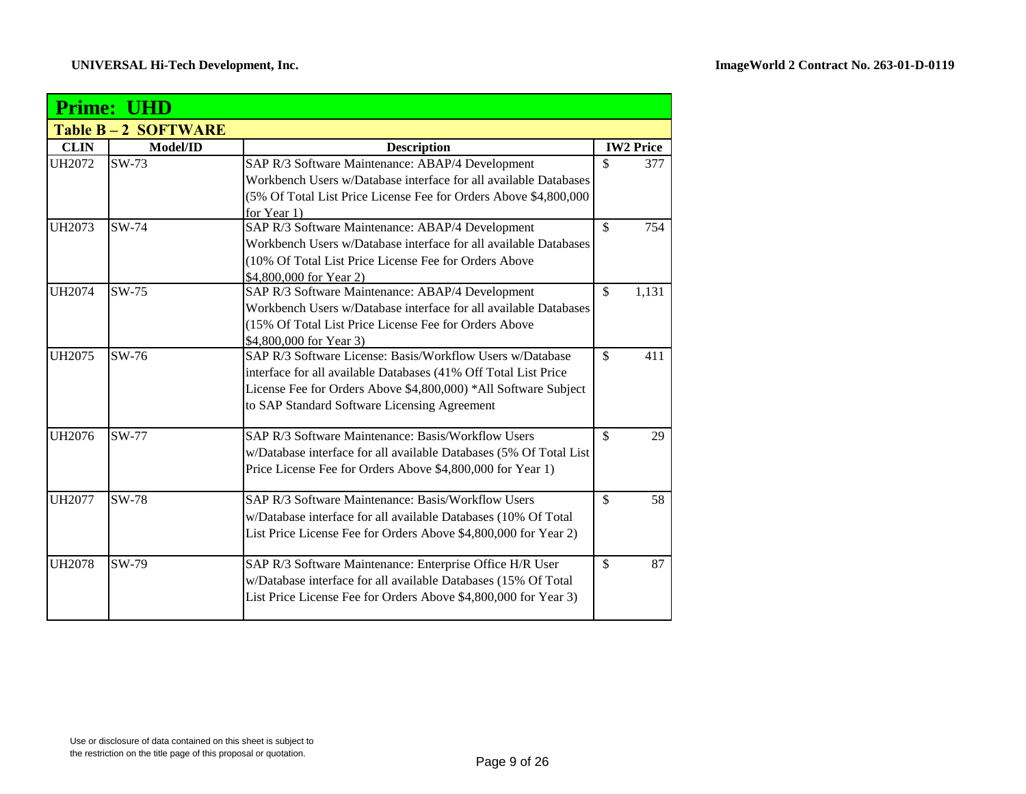|               | <b>Prime: UHD</b>  |                                                                                      |               |                  |  |
|---------------|--------------------|--------------------------------------------------------------------------------------|---------------|------------------|--|
|               | Table B-2 SOFTWARE |                                                                                      |               |                  |  |
| <b>CLIN</b>   | Model/ID           | <b>Description</b>                                                                   |               | <b>IW2 Price</b> |  |
| UH2072        | $SW-73$            | SAP R/3 Software Maintenance: ABAP/4 Development                                     | $\mathcal{S}$ | 377              |  |
|               |                    | Workbench Users w/Database interface for all available Databases                     |               |                  |  |
|               |                    | (5% Of Total List Price License Fee for Orders Above \$4,800,000                     |               |                  |  |
|               |                    | for Year 1)                                                                          |               |                  |  |
| <b>UH2073</b> | SW-74              | SAP R/3 Software Maintenance: ABAP/4 Development                                     | $\mathcal{S}$ | 754              |  |
|               |                    | Workbench Users w/Database interface for all available Databases                     |               |                  |  |
|               |                    | (10% Of Total List Price License Fee for Orders Above                                |               |                  |  |
|               |                    | \$4,800,000 for Year 2)                                                              |               |                  |  |
| UH2074        | SW-75              | SAP R/3 Software Maintenance: ABAP/4 Development                                     | $\mathcal{S}$ | 1,131            |  |
|               |                    | Workbench Users w/Database interface for all available Databases                     |               |                  |  |
|               |                    | (15% Of Total List Price License Fee for Orders Above                                |               |                  |  |
|               |                    | \$4,800,000 for Year 3)<br>SAP R/3 Software License: Basis/Workflow Users w/Database |               |                  |  |
| <b>UH2075</b> | SW-76              |                                                                                      | $\mathcal{S}$ | 411              |  |
|               |                    | interface for all available Databases (41% Off Total List Price                      |               |                  |  |
|               |                    | License Fee for Orders Above \$4,800,000) *All Software Subject                      |               |                  |  |
|               |                    | to SAP Standard Software Licensing Agreement                                         |               |                  |  |
| <b>UH2076</b> | SW-77              | SAP R/3 Software Maintenance: Basis/Workflow Users                                   | $\mathcal{S}$ | 29               |  |
|               |                    | w/Database interface for all available Databases (5% Of Total List                   |               |                  |  |
|               |                    | Price License Fee for Orders Above \$4,800,000 for Year 1)                           |               |                  |  |
|               |                    |                                                                                      |               |                  |  |
| <b>UH2077</b> | <b>SW-78</b>       | SAP R/3 Software Maintenance: Basis/Workflow Users                                   | $\mathbb{S}$  | 58               |  |
|               |                    | w/Database interface for all available Databases (10% Of Total                       |               |                  |  |
|               |                    | List Price License Fee for Orders Above \$4,800,000 for Year 2)                      |               |                  |  |
| <b>UH2078</b> | SW-79              | SAP R/3 Software Maintenance: Enterprise Office H/R User                             | $\mathcal{S}$ | 87               |  |
|               |                    | w/Database interface for all available Databases (15% Of Total                       |               |                  |  |
|               |                    | List Price License Fee for Orders Above \$4,800,000 for Year 3)                      |               |                  |  |
|               |                    |                                                                                      |               |                  |  |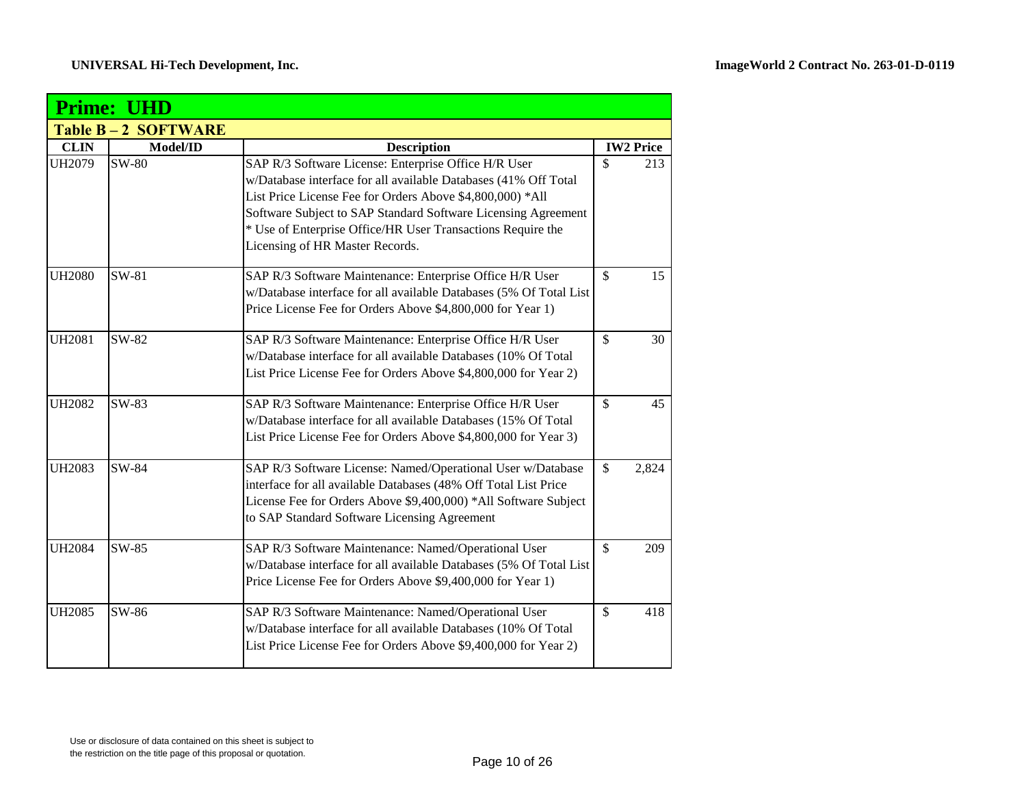|               | <b>Prime: UHD</b>         |                                                                                                                                                                                                                                                                                                                                                         |               |                  |
|---------------|---------------------------|---------------------------------------------------------------------------------------------------------------------------------------------------------------------------------------------------------------------------------------------------------------------------------------------------------------------------------------------------------|---------------|------------------|
|               | <b>Table B-2 SOFTWARE</b> |                                                                                                                                                                                                                                                                                                                                                         |               |                  |
| <b>CLIN</b>   | Model/ID                  | <b>Description</b>                                                                                                                                                                                                                                                                                                                                      |               | <b>IW2 Price</b> |
| UH2079        | <b>SW-80</b>              | SAP R/3 Software License: Enterprise Office H/R User<br>w/Database interface for all available Databases (41% Off Total<br>List Price License Fee for Orders Above \$4,800,000) *All<br>Software Subject to SAP Standard Software Licensing Agreement<br>* Use of Enterprise Office/HR User Transactions Require the<br>Licensing of HR Master Records. | \$            | 213              |
| <b>UH2080</b> | SW-81                     | SAP R/3 Software Maintenance: Enterprise Office H/R User<br>w/Database interface for all available Databases (5% Of Total List<br>Price License Fee for Orders Above \$4,800,000 for Year 1)                                                                                                                                                            | $\mathbb{S}$  | 15               |
| <b>UH2081</b> | SW-82                     | SAP R/3 Software Maintenance: Enterprise Office H/R User<br>w/Database interface for all available Databases (10% Of Total<br>List Price License Fee for Orders Above \$4,800,000 for Year 2)                                                                                                                                                           | $\mathcal{S}$ | 30               |
| <b>UH2082</b> | SW-83                     | SAP R/3 Software Maintenance: Enterprise Office H/R User<br>w/Database interface for all available Databases (15% Of Total<br>List Price License Fee for Orders Above \$4,800,000 for Year 3)                                                                                                                                                           | $\mathbb{S}$  | 45               |
| <b>UH2083</b> | SW-84                     | SAP R/3 Software License: Named/Operational User w/Database<br>interface for all available Databases (48% Off Total List Price<br>License Fee for Orders Above \$9,400,000) *All Software Subject<br>to SAP Standard Software Licensing Agreement                                                                                                       | $\mathsf{\$}$ | 2,824            |
| <b>UH2084</b> | SW-85                     | SAP R/3 Software Maintenance: Named/Operational User<br>w/Database interface for all available Databases (5% Of Total List<br>Price License Fee for Orders Above \$9,400,000 for Year 1)                                                                                                                                                                | $\mathcal{S}$ | 209              |
| <b>UH2085</b> | SW-86                     | SAP R/3 Software Maintenance: Named/Operational User<br>w/Database interface for all available Databases (10% Of Total<br>List Price License Fee for Orders Above \$9,400,000 for Year 2)                                                                                                                                                               | $\mathcal{S}$ | 418              |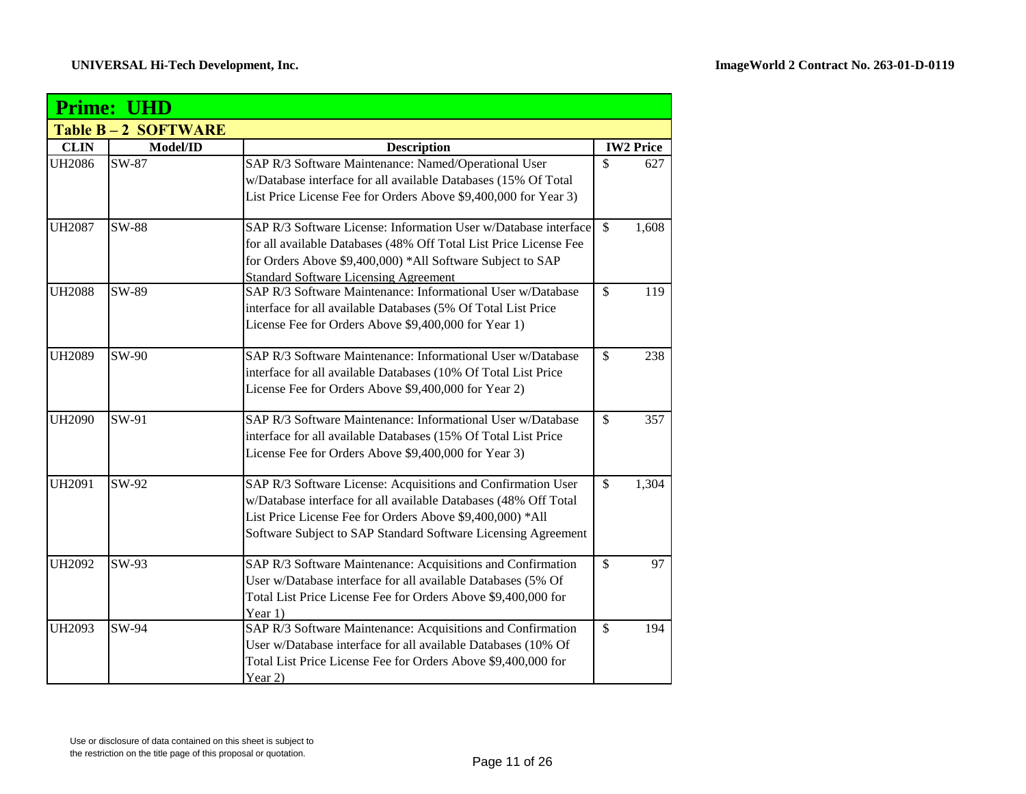|               | <b>Prime: UHD</b>         |                                                                                                                                                                                                                                                               |                           |                  |
|---------------|---------------------------|---------------------------------------------------------------------------------------------------------------------------------------------------------------------------------------------------------------------------------------------------------------|---------------------------|------------------|
|               | <b>Table B-2 SOFTWARE</b> |                                                                                                                                                                                                                                                               |                           |                  |
| <b>CLIN</b>   | Model/ID                  | <b>Description</b>                                                                                                                                                                                                                                            |                           | <b>IW2</b> Price |
| <b>UH2086</b> | SW-87                     | SAP R/3 Software Maintenance: Named/Operational User<br>w/Database interface for all available Databases (15% Of Total<br>List Price License Fee for Orders Above \$9,400,000 for Year 3)                                                                     | \$                        | 627              |
| <b>UH2087</b> | <b>SW-88</b>              | SAP R/3 Software License: Information User w/Database interface<br>for all available Databases (48% Off Total List Price License Fee<br>for Orders Above \$9,400,000) *All Software Subject to SAP<br><b>Standard Software Licensing Agreement</b>            | $\mathcal{S}$             | 1,608            |
| <b>UH2088</b> | SW-89                     | SAP R/3 Software Maintenance: Informational User w/Database<br>interface for all available Databases (5% Of Total List Price<br>License Fee for Orders Above \$9,400,000 for Year 1)                                                                          | \$                        | 119              |
| <b>UH2089</b> | SW-90                     | SAP R/3 Software Maintenance: Informational User w/Database<br>interface for all available Databases (10% Of Total List Price<br>License Fee for Orders Above \$9,400,000 for Year 2)                                                                         | \$                        | 238              |
| <b>UH2090</b> | SW-91                     | SAP R/3 Software Maintenance: Informational User w/Database<br>interface for all available Databases (15% Of Total List Price<br>License Fee for Orders Above \$9,400,000 for Year 3)                                                                         | \$                        | 357              |
| <b>UH2091</b> | SW-92                     | SAP R/3 Software License: Acquisitions and Confirmation User<br>w/Database interface for all available Databases (48% Off Total<br>List Price License Fee for Orders Above \$9,400,000) *All<br>Software Subject to SAP Standard Software Licensing Agreement | \$                        | 1,304            |
| <b>UH2092</b> | SW-93                     | SAP R/3 Software Maintenance: Acquisitions and Confirmation<br>User w/Database interface for all available Databases (5% Of<br>Total List Price License Fee for Orders Above \$9,400,000 for<br>Year 1)                                                       | \$                        | 97               |
| <b>UH2093</b> | $SW-94$                   | SAP R/3 Software Maintenance: Acquisitions and Confirmation<br>User w/Database interface for all available Databases (10% Of<br>Total List Price License Fee for Orders Above \$9,400,000 for<br>Year 2)                                                      | $\boldsymbol{\mathsf{S}}$ | 194              |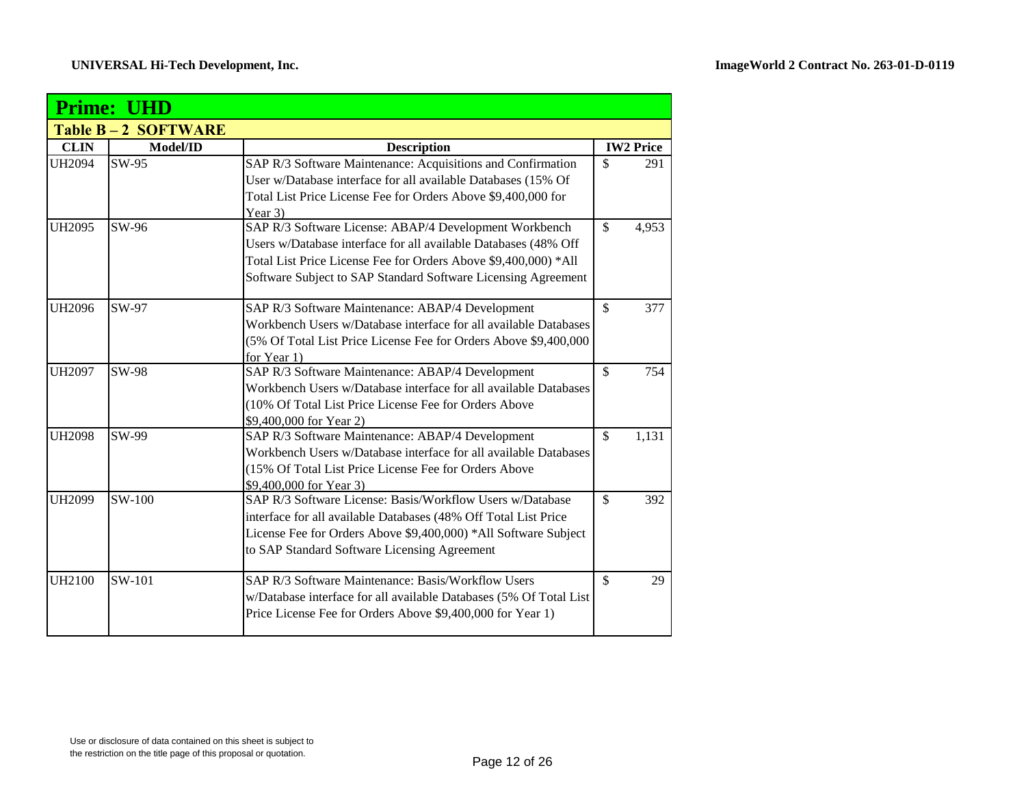|               | <b>Prime: UHD</b>         |                                                                    |                    |                  |
|---------------|---------------------------|--------------------------------------------------------------------|--------------------|------------------|
|               | <b>Table B-2 SOFTWARE</b> |                                                                    |                    |                  |
| <b>CLIN</b>   | Model/ID                  | <b>Description</b>                                                 |                    | <b>IW2 Price</b> |
| <b>UH2094</b> | SW-95                     | SAP R/3 Software Maintenance: Acquisitions and Confirmation        | $\mathbb{S}$       | 291              |
|               |                           | User w/Database interface for all available Databases (15% Of      |                    |                  |
|               |                           | Total List Price License Fee for Orders Above \$9,400,000 for      |                    |                  |
|               |                           | Year 3)                                                            |                    |                  |
| <b>UH2095</b> | SW-96                     | SAP R/3 Software License: ABAP/4 Development Workbench             | $\mathbf{\hat{S}}$ | 4,953            |
|               |                           | Users w/Database interface for all available Databases (48% Off    |                    |                  |
|               |                           | Total List Price License Fee for Orders Above \$9,400,000) *All    |                    |                  |
|               |                           | Software Subject to SAP Standard Software Licensing Agreement      |                    |                  |
| <b>UH2096</b> | SW-97                     | SAP R/3 Software Maintenance: ABAP/4 Development                   | $\mathcal{S}$      | 377              |
|               |                           | Workbench Users w/Database interface for all available Databases   |                    |                  |
|               |                           | (5% Of Total List Price License Fee for Orders Above \$9,400,000   |                    |                  |
|               |                           | for Year 1)                                                        |                    |                  |
| <b>UH2097</b> | <b>SW-98</b>              | SAP R/3 Software Maintenance: ABAP/4 Development                   | $\mathcal{S}$      | 754              |
|               |                           | Workbench Users w/Database interface for all available Databases   |                    |                  |
|               |                           | (10% Of Total List Price License Fee for Orders Above              |                    |                  |
|               |                           | \$9,400,000 for Year 2)                                            |                    |                  |
| <b>UH2098</b> | SW-99                     | SAP R/3 Software Maintenance: ABAP/4 Development                   | $\mathcal{S}$      | 1,131            |
|               |                           | Workbench Users w/Database interface for all available Databases   |                    |                  |
|               |                           | (15% Of Total List Price License Fee for Orders Above              |                    |                  |
|               |                           | \$9,400,000 for Year 3)                                            |                    |                  |
| <b>UH2099</b> | SW-100                    | SAP R/3 Software License: Basis/Workflow Users w/Database          | $\mathcal{S}$      | 392              |
|               |                           | interface for all available Databases (48% Off Total List Price    |                    |                  |
|               |                           | License Fee for Orders Above \$9,400,000) *All Software Subject    |                    |                  |
|               |                           | to SAP Standard Software Licensing Agreement                       |                    |                  |
| <b>UH2100</b> | SW-101                    | SAP R/3 Software Maintenance: Basis/Workflow Users                 | $\mathbf{\hat{S}}$ | 29               |
|               |                           | w/Database interface for all available Databases (5% Of Total List |                    |                  |
|               |                           | Price License Fee for Orders Above \$9,400,000 for Year 1)         |                    |                  |
|               |                           |                                                                    |                    |                  |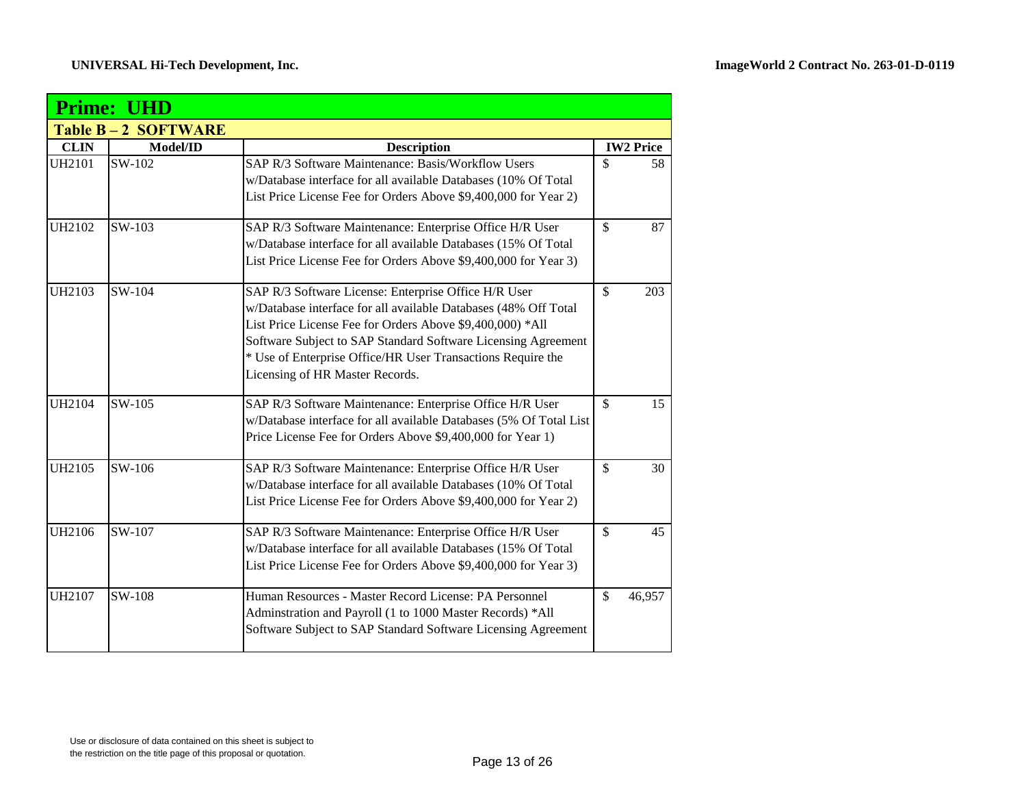|               | <b>Prime: UHD</b>  |                                                                                                                                                                                                                                                                                                                                                         |                    |                  |
|---------------|--------------------|---------------------------------------------------------------------------------------------------------------------------------------------------------------------------------------------------------------------------------------------------------------------------------------------------------------------------------------------------------|--------------------|------------------|
|               | Table B-2 SOFTWARE |                                                                                                                                                                                                                                                                                                                                                         |                    |                  |
| <b>CLIN</b>   | Model/ID           | <b>Description</b>                                                                                                                                                                                                                                                                                                                                      |                    | <b>IW2 Price</b> |
| <b>UH2101</b> | SW-102             | SAP R/3 Software Maintenance: Basis/Workflow Users<br>w/Database interface for all available Databases (10% Of Total<br>List Price License Fee for Orders Above \$9,400,000 for Year 2)                                                                                                                                                                 | $\mathcal{S}$      | 58               |
| <b>UH2102</b> | SW-103             | SAP R/3 Software Maintenance: Enterprise Office H/R User<br>w/Database interface for all available Databases (15% Of Total<br>List Price License Fee for Orders Above \$9,400,000 for Year 3)                                                                                                                                                           | $\mathcal{S}$      | 87               |
| UH2103        | SW-104             | SAP R/3 Software License: Enterprise Office H/R User<br>w/Database interface for all available Databases (48% Off Total<br>List Price License Fee for Orders Above \$9,400,000) *All<br>Software Subject to SAP Standard Software Licensing Agreement<br>* Use of Enterprise Office/HR User Transactions Require the<br>Licensing of HR Master Records. | $\mathcal{S}$      | 203              |
| UH2104        | SW-105             | SAP R/3 Software Maintenance: Enterprise Office H/R User<br>w/Database interface for all available Databases (5% Of Total List<br>Price License Fee for Orders Above \$9,400,000 for Year 1)                                                                                                                                                            | $\mathbb{S}$       | 15               |
| UH2105        | SW-106             | SAP R/3 Software Maintenance: Enterprise Office H/R User<br>w/Database interface for all available Databases (10% Of Total<br>List Price License Fee for Orders Above \$9,400,000 for Year 2)                                                                                                                                                           | $\mathcal{S}$      | 30               |
| <b>UH2106</b> | SW-107             | SAP R/3 Software Maintenance: Enterprise Office H/R User<br>w/Database interface for all available Databases (15% Of Total<br>List Price License Fee for Orders Above \$9,400,000 for Year 3)                                                                                                                                                           | $\mathbf{\hat{S}}$ | 45               |
| <b>UH2107</b> | SW-108             | Human Resources - Master Record License: PA Personnel<br>Adminstration and Payroll (1 to 1000 Master Records) *All<br>Software Subject to SAP Standard Software Licensing Agreement                                                                                                                                                                     | $\mathbb{S}$       | 46,957           |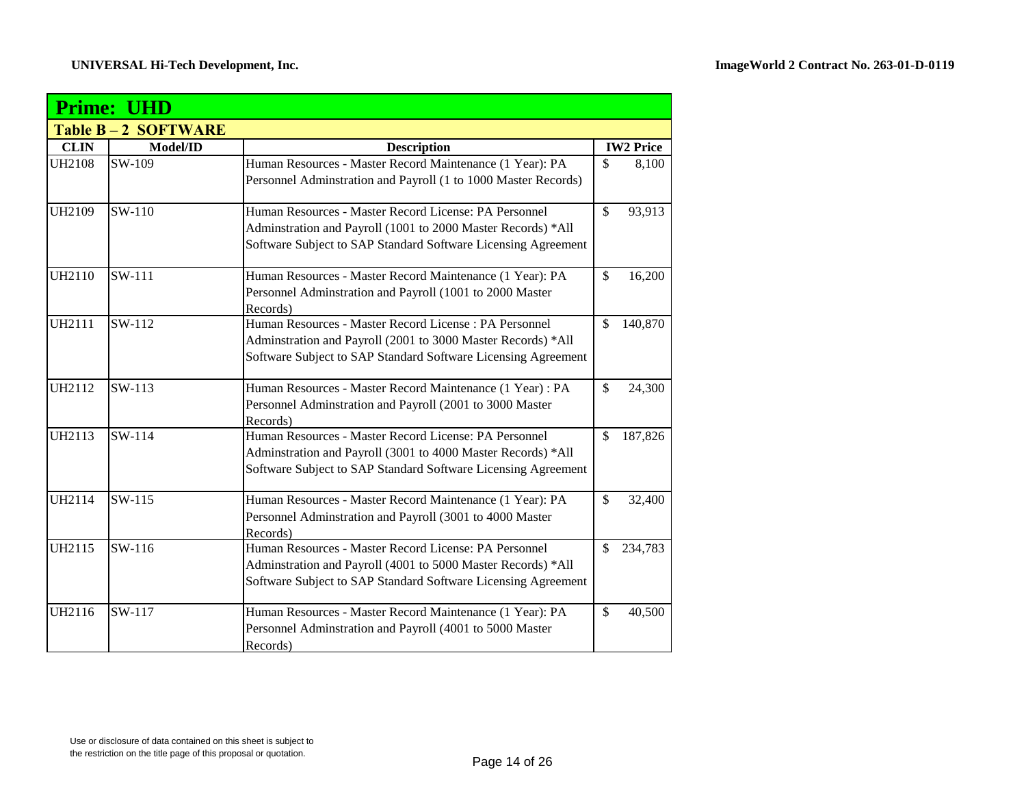|               | <b>Prime: UHD</b>         |                                                                      |              |                  |
|---------------|---------------------------|----------------------------------------------------------------------|--------------|------------------|
|               | <b>Table B-2 SOFTWARE</b> |                                                                      |              |                  |
| <b>CLIN</b>   | Model/ID                  | <b>Description</b>                                                   |              | <b>IW2 Price</b> |
| <b>UH2108</b> | SW-109                    | Human Resources - Master Record Maintenance (1 Year): PA             | \$           | 8,100            |
|               |                           | Personnel Adminstration and Payroll (1 to 1000 Master Records)       |              |                  |
| <b>UH2109</b> | SW-110                    | Human Resources - Master Record License: PA Personnel                | $\mathbb{S}$ | 93,913           |
|               |                           | Adminstration and Payroll (1001 to 2000 Master Records) *All         |              |                  |
|               |                           | Software Subject to SAP Standard Software Licensing Agreement        |              |                  |
| <b>UH2110</b> | SW-111                    | Human Resources - Master Record Maintenance (1 Year): PA             | $\mathbb{S}$ | 16,200           |
|               |                           | Personnel Adminstration and Payroll (1001 to 2000 Master<br>Records) |              |                  |
| <b>UH2111</b> | SW-112                    | Human Resources - Master Record License : PA Personnel               | \$           | 140,870          |
|               |                           | Adminstration and Payroll (2001 to 3000 Master Records) *All         |              |                  |
|               |                           | Software Subject to SAP Standard Software Licensing Agreement        |              |                  |
| UH2112        | SW-113                    | Human Resources - Master Record Maintenance (1 Year) : PA            | $\mathbb{S}$ | 24,300           |
|               |                           | Personnel Adminstration and Payroll (2001 to 3000 Master<br>Records) |              |                  |
| UH2113        | SW-114                    | Human Resources - Master Record License: PA Personnel                | \$           | 187,826          |
|               |                           | Adminstration and Payroll (3001 to 4000 Master Records) *All         |              |                  |
|               |                           | Software Subject to SAP Standard Software Licensing Agreement        |              |                  |
| <b>UH2114</b> | SW-115                    | Human Resources - Master Record Maintenance (1 Year): PA             | $\mathbb{S}$ | 32,400           |
|               |                           | Personnel Adminstration and Payroll (3001 to 4000 Master             |              |                  |
|               |                           | Records)                                                             |              |                  |
| UH2115        | SW-116                    | Human Resources - Master Record License: PA Personnel                | \$           | 234,783          |
|               |                           | Adminstration and Payroll (4001 to 5000 Master Records) *All         |              |                  |
|               |                           | Software Subject to SAP Standard Software Licensing Agreement        |              |                  |
| <b>UH2116</b> | SW-117                    | Human Resources - Master Record Maintenance (1 Year): PA             | $\mathbb{S}$ | 40,500           |
|               |                           | Personnel Adminstration and Payroll (4001 to 5000 Master             |              |                  |
|               |                           | Records)                                                             |              |                  |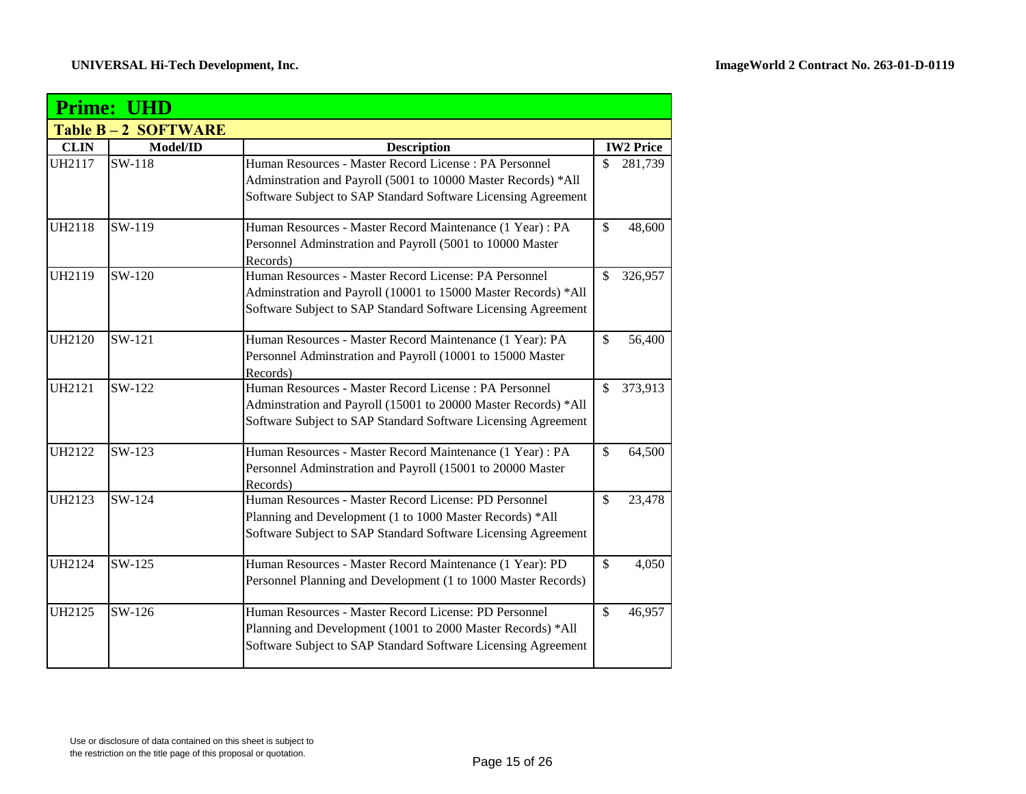|               | <b>Prime: UHD</b>  |                                                                                                                                                                                           |                    |                  |  |  |
|---------------|--------------------|-------------------------------------------------------------------------------------------------------------------------------------------------------------------------------------------|--------------------|------------------|--|--|
|               | Table B-2 SOFTWARE |                                                                                                                                                                                           |                    |                  |  |  |
| <b>CLIN</b>   | Model/ID           | <b>Description</b>                                                                                                                                                                        |                    | <b>IW2 Price</b> |  |  |
| UH2117        | SW-118             | Human Resources - Master Record License : PA Personnel<br>Adminstration and Payroll (5001 to 10000 Master Records) *All<br>Software Subject to SAP Standard Software Licensing Agreement  | $\mathcal{S}$      | 281,739          |  |  |
| <b>UH2118</b> | SW-119             | Human Resources - Master Record Maintenance (1 Year) : PA<br>Personnel Adminstration and Payroll (5001 to 10000 Master<br>Records)                                                        | $\mathcal{S}$      | 48,600           |  |  |
| UH2119        | SW-120             | Human Resources - Master Record License: PA Personnel<br>Adminstration and Payroll (10001 to 15000 Master Records) *All<br>Software Subject to SAP Standard Software Licensing Agreement  | $\mathcal{S}$      | 326,957          |  |  |
| <b>UH2120</b> | SW-121             | Human Resources - Master Record Maintenance (1 Year): PA<br>Personnel Adminstration and Payroll (10001 to 15000 Master<br>Records)                                                        | $\mathbf{\hat{S}}$ | 56,400           |  |  |
| <b>UH2121</b> | SW-122             | Human Resources - Master Record License : PA Personnel<br>Adminstration and Payroll (15001 to 20000 Master Records) *All<br>Software Subject to SAP Standard Software Licensing Agreement | $\mathbb{S}$       | 373,913          |  |  |
| <b>UH2122</b> | SW-123             | Human Resources - Master Record Maintenance (1 Year) : PA<br>Personnel Adminstration and Payroll (15001 to 20000 Master<br>Records)                                                       | $\mathcal{S}$      | 64,500           |  |  |
| <b>UH2123</b> | SW-124             | Human Resources - Master Record License: PD Personnel<br>Planning and Development (1 to 1000 Master Records) *All<br>Software Subject to SAP Standard Software Licensing Agreement        | $\mathcal{S}$      | 23,478           |  |  |
| <b>UH2124</b> | SW-125             | Human Resources - Master Record Maintenance (1 Year): PD<br>Personnel Planning and Development (1 to 1000 Master Records)                                                                 | $\mathcal{S}$      | 4,050            |  |  |
| <b>UH2125</b> | $SW-126$           | Human Resources - Master Record License: PD Personnel<br>Planning and Development (1001 to 2000 Master Records) *All<br>Software Subject to SAP Standard Software Licensing Agreement     | $\mathbf{\hat{S}}$ | 46,957           |  |  |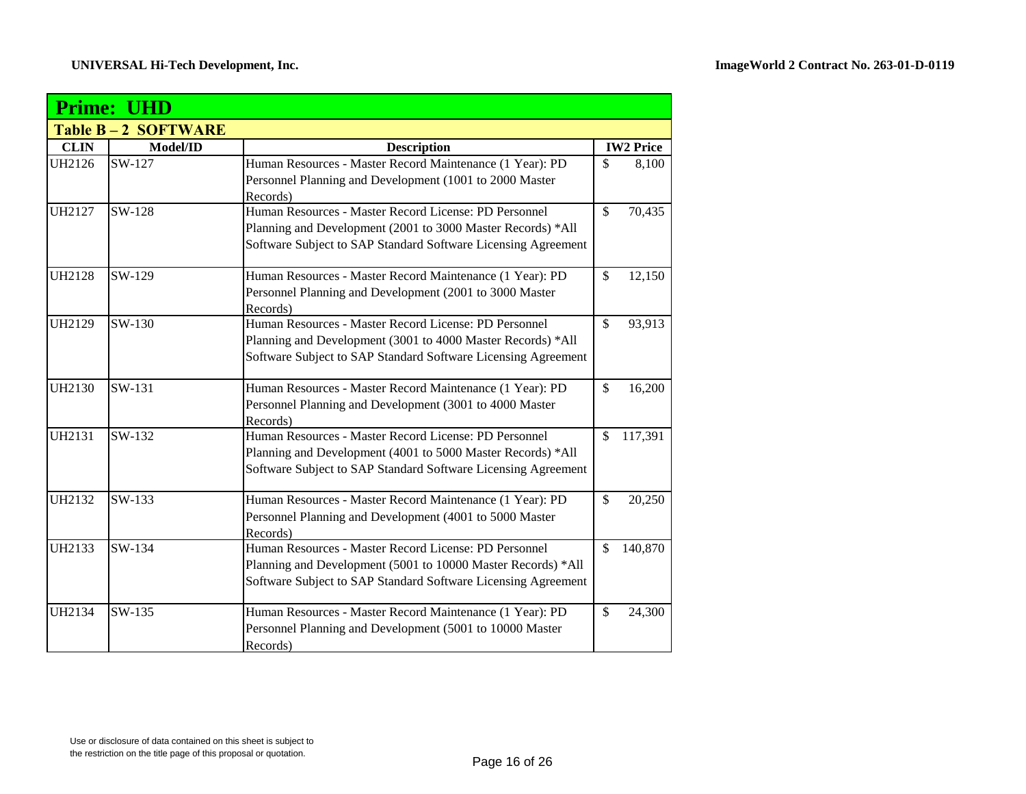|               | <b>Prime: UHD</b>         |                                                                     |                    |                  |
|---------------|---------------------------|---------------------------------------------------------------------|--------------------|------------------|
|               | <b>Table B-2 SOFTWARE</b> |                                                                     |                    |                  |
| <b>CLIN</b>   | Model/ID                  | <b>Description</b>                                                  |                    | <b>IW2 Price</b> |
| <b>UH2126</b> | SW-127                    | Human Resources - Master Record Maintenance (1 Year): PD            | $\mathcal{S}$      | 8,100            |
|               |                           | Personnel Planning and Development (1001 to 2000 Master             |                    |                  |
|               |                           | Records)                                                            |                    |                  |
| <b>UH2127</b> | SW-128                    | Human Resources - Master Record License: PD Personnel               | $\mathbf{\hat{S}}$ | 70,435           |
|               |                           | Planning and Development (2001 to 3000 Master Records) *All         |                    |                  |
|               |                           | Software Subject to SAP Standard Software Licensing Agreement       |                    |                  |
| <b>UH2128</b> | SW-129                    | Human Resources - Master Record Maintenance (1 Year): PD            | $\mathbb{S}$       | 12,150           |
|               |                           | Personnel Planning and Development (2001 to 3000 Master<br>Records) |                    |                  |
| <b>UH2129</b> | SW-130                    | Human Resources - Master Record License: PD Personnel               | $\mathbf{\hat{S}}$ | 93,913           |
|               |                           | Planning and Development (3001 to 4000 Master Records) *All         |                    |                  |
|               |                           | Software Subject to SAP Standard Software Licensing Agreement       |                    |                  |
|               |                           |                                                                     |                    |                  |
| <b>UH2130</b> | SW-131                    | Human Resources - Master Record Maintenance (1 Year): PD            | $\mathbb{S}$       | 16,200           |
|               |                           | Personnel Planning and Development (3001 to 4000 Master             |                    |                  |
|               |                           | Records)                                                            |                    |                  |
| <b>UH2131</b> | SW-132                    | Human Resources - Master Record License: PD Personnel               | $\mathcal{S}$      | 117,391          |
|               |                           | Planning and Development (4001 to 5000 Master Records) *All         |                    |                  |
|               |                           | Software Subject to SAP Standard Software Licensing Agreement       |                    |                  |
| <b>UH2132</b> | SW-133                    | Human Resources - Master Record Maintenance (1 Year): PD            | $\mathbb{S}$       | 20,250           |
|               |                           | Personnel Planning and Development (4001 to 5000 Master             |                    |                  |
|               |                           | Records)                                                            |                    |                  |
| UH2133        | SW-134                    | Human Resources - Master Record License: PD Personnel               | $\mathcal{S}$      | 140,870          |
|               |                           | Planning and Development (5001 to 10000 Master Records) *All        |                    |                  |
|               |                           | Software Subject to SAP Standard Software Licensing Agreement       |                    |                  |
| <b>UH2134</b> | SW-135                    | Human Resources - Master Record Maintenance (1 Year): PD            | $\mathcal{S}$      | 24,300           |
|               |                           | Personnel Planning and Development (5001 to 10000 Master            |                    |                  |
|               |                           | Records)                                                            |                    |                  |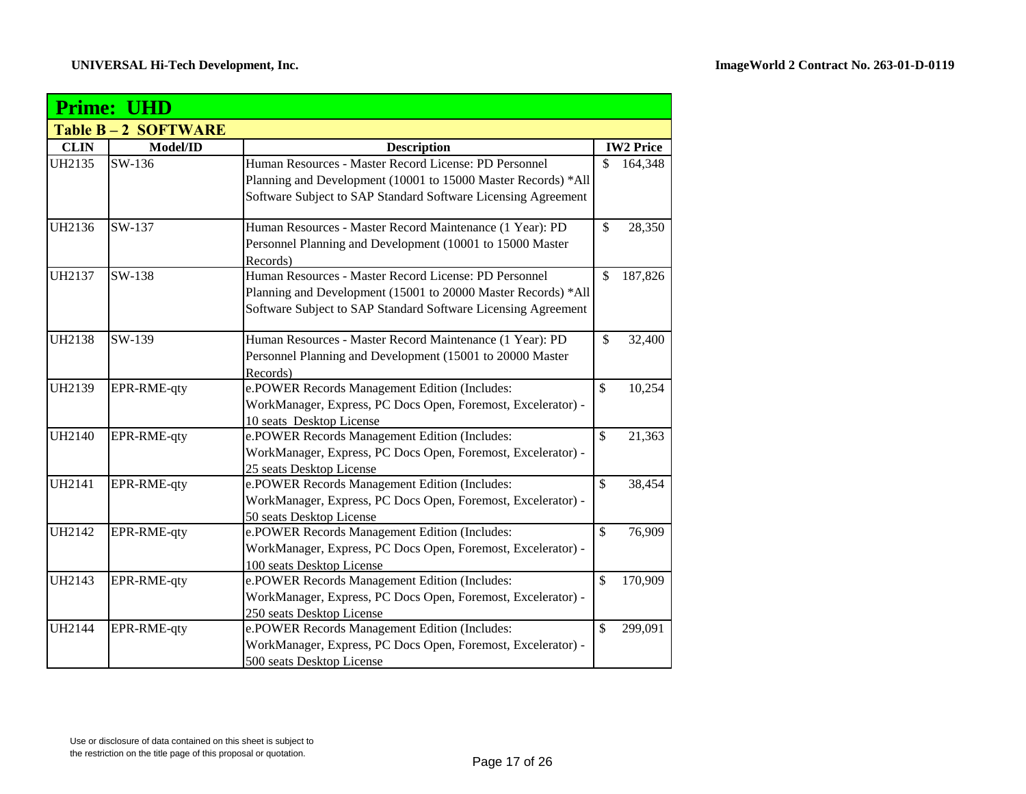|               | <b>Prime: UHD</b>  |                                                                                                                                                                                         |                    |                  |  |
|---------------|--------------------|-----------------------------------------------------------------------------------------------------------------------------------------------------------------------------------------|--------------------|------------------|--|
|               | Table B-2 SOFTWARE |                                                                                                                                                                                         |                    |                  |  |
| <b>CLIN</b>   | Model/ID           | <b>Description</b>                                                                                                                                                                      |                    | <b>IW2 Price</b> |  |
| UH2135        | SW-136             | Human Resources - Master Record License: PD Personnel<br>Planning and Development (10001 to 15000 Master Records) *All<br>Software Subject to SAP Standard Software Licensing Agreement | \$                 | 164,348          |  |
| UH2136        | SW-137             | Human Resources - Master Record Maintenance (1 Year): PD<br>Personnel Planning and Development (10001 to 15000 Master<br>Records)                                                       | $\mathbb{S}$       | 28,350           |  |
| UH2137        | SW-138             | Human Resources - Master Record License: PD Personnel<br>Planning and Development (15001 to 20000 Master Records) *All<br>Software Subject to SAP Standard Software Licensing Agreement | $\mathbf{\hat{S}}$ | 187,826          |  |
| <b>UH2138</b> | SW-139             | Human Resources - Master Record Maintenance (1 Year): PD<br>Personnel Planning and Development (15001 to 20000 Master<br>Records)                                                       | $\mathbb{S}$       | 32,400           |  |
| UH2139        | EPR-RME-qty        | e.POWER Records Management Edition (Includes:<br>WorkManager, Express, PC Docs Open, Foremost, Excelerator) -<br>10 seats Desktop License                                               | \$                 | 10,254           |  |
| <b>UH2140</b> | EPR-RME-qty        | e.POWER Records Management Edition (Includes:<br>WorkManager, Express, PC Docs Open, Foremost, Excelerator) -<br>25 seats Desktop License                                               | \$                 | 21,363           |  |
| <b>UH2141</b> | EPR-RME-qty        | e.POWER Records Management Edition (Includes:<br>WorkManager, Express, PC Docs Open, Foremost, Excelerator) -<br>50 seats Desktop License                                               | \$                 | 38,454           |  |
| UH2142        | EPR-RME-qty        | e.POWER Records Management Edition (Includes:<br>WorkManager, Express, PC Docs Open, Foremost, Excelerator) -<br>100 seats Desktop License                                              | \$                 | 76,909           |  |
| UH2143        | EPR-RME-qty        | e.POWER Records Management Edition (Includes:<br>WorkManager, Express, PC Docs Open, Foremost, Excelerator) -<br>250 seats Desktop License                                              | \$                 | 170,909          |  |
| <b>UH2144</b> | EPR-RME-qty        | e.POWER Records Management Edition (Includes:<br>WorkManager, Express, PC Docs Open, Foremost, Excelerator) -<br>500 seats Desktop License                                              | \$                 | 299,091          |  |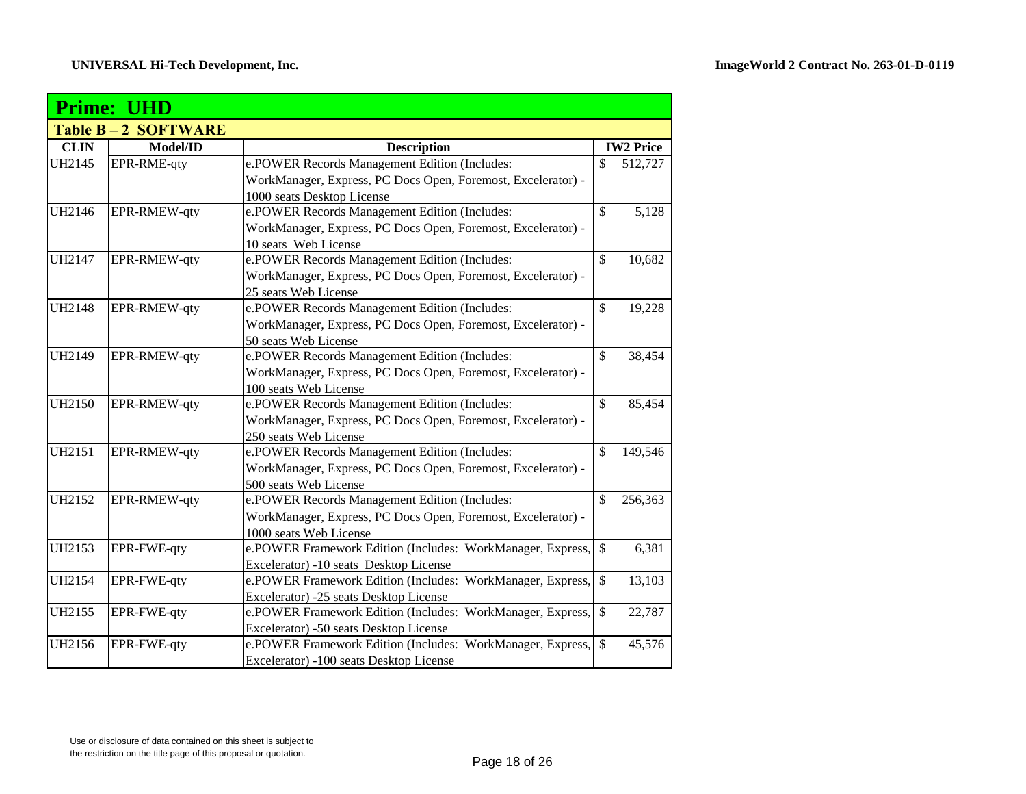|               | <b>Prime: UHD</b>         |                                                                                                      |               |                  |
|---------------|---------------------------|------------------------------------------------------------------------------------------------------|---------------|------------------|
|               | <b>Table B-2 SOFTWARE</b> |                                                                                                      |               |                  |
| <b>CLIN</b>   | Model/ID                  | <b>Description</b>                                                                                   |               | <b>IW2 Price</b> |
| UH2145        | EPR-RME-qty               | e.POWER Records Management Edition (Includes:                                                        | \$            | 512,727          |
|               |                           | WorkManager, Express, PC Docs Open, Foremost, Excelerator) -                                         |               |                  |
|               |                           | 1000 seats Desktop License                                                                           |               |                  |
| <b>UH2146</b> | EPR-RMEW-qty              | e.POWER Records Management Edition (Includes:                                                        | $\mathcal{S}$ | 5,128            |
|               |                           | WorkManager, Express, PC Docs Open, Foremost, Excelerator) -                                         |               |                  |
|               |                           | 10 seats Web License                                                                                 |               |                  |
| <b>UH2147</b> | EPR-RMEW-qty              | e.POWER Records Management Edition (Includes:                                                        | $\mathbb{S}$  | 10,682           |
|               |                           | WorkManager, Express, PC Docs Open, Foremost, Excelerator) -                                         |               |                  |
|               |                           | 25 seats Web License                                                                                 |               |                  |
| <b>UH2148</b> | EPR-RMEW-qty              | e.POWER Records Management Edition (Includes:                                                        | $\mathsf{\$}$ | 19,228           |
|               |                           | WorkManager, Express, PC Docs Open, Foremost, Excelerator) -                                         |               |                  |
|               |                           | 50 seats Web License                                                                                 |               |                  |
| UH2149        | EPR-RMEW-qty              | e.POWER Records Management Edition (Includes:                                                        | $\mathbb{S}$  | 38,454           |
|               |                           | WorkManager, Express, PC Docs Open, Foremost, Excelerator) -                                         |               |                  |
|               |                           | 100 seats Web License                                                                                |               |                  |
| <b>UH2150</b> | EPR-RMEW-qty              | e.POWER Records Management Edition (Includes:                                                        | $\mathcal{S}$ | 85,454           |
|               |                           | WorkManager, Express, PC Docs Open, Foremost, Excelerator) -                                         |               |                  |
|               |                           | 250 seats Web License                                                                                |               |                  |
| UH2151        | EPR-RMEW-qty              | e.POWER Records Management Edition (Includes:                                                        | \$            | 149,546          |
|               |                           | WorkManager, Express, PC Docs Open, Foremost, Excelerator) -                                         |               |                  |
|               |                           | 500 seats Web License                                                                                |               |                  |
| UH2152        | EPR-RMEW-qty              | e.POWER Records Management Edition (Includes:                                                        | \$            | 256,363          |
|               |                           | WorkManager, Express, PC Docs Open, Foremost, Excelerator) -                                         |               |                  |
|               |                           | 1000 seats Web License                                                                               |               |                  |
| UH2153        | EPR-FWE-qty               | e.POWER Framework Edition (Includes: WorkManager, Express,                                           | $\mathcal{S}$ | 6,381            |
| <b>UH2154</b> |                           | Excelerator) -10 seats Desktop License                                                               | $\mathcal{S}$ |                  |
|               | EPR-FWE-qty               | e.POWER Framework Edition (Includes: WorkManager, Express,                                           |               | 13,103           |
| UH2155        | EPR-FWE-qty               | Excelerator) -25 seats Desktop License<br>e.POWER Framework Edition (Includes: WorkManager, Express, | $\mathcal{S}$ | 22,787           |
|               |                           | Excelerator) -50 seats Desktop License                                                               |               |                  |
| UH2156        | EPR-FWE-qty               | e.POWER Framework Edition (Includes: WorkManager, Express,                                           | $\mathbb{S}$  | 45,576           |
|               |                           | Excelerator) -100 seats Desktop License                                                              |               |                  |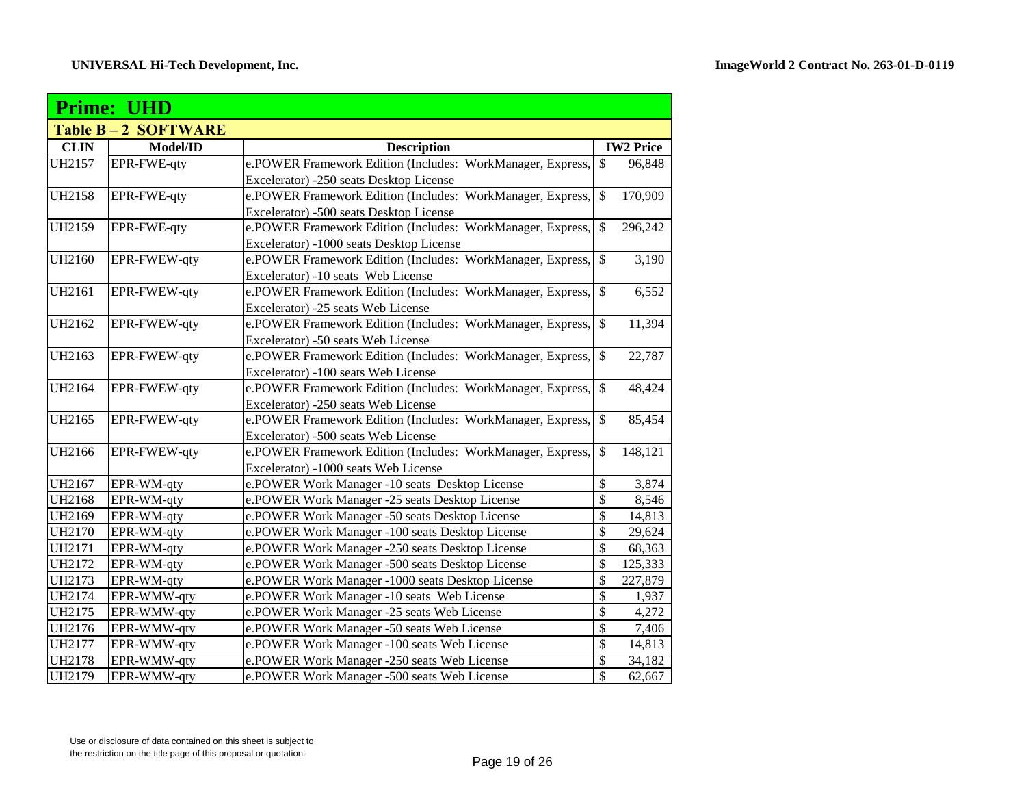|               | <b>Prime: UHD</b>  |                                                            |                           |                  |
|---------------|--------------------|------------------------------------------------------------|---------------------------|------------------|
|               | Table B-2 SOFTWARE |                                                            |                           |                  |
| <b>CLIN</b>   | Model/ID           | <b>Description</b>                                         |                           | <b>IW2</b> Price |
| UH2157        | EPR-FWE-qty        | e.POWER Framework Edition (Includes: WorkManager, Express, | \$                        | 96,848           |
|               |                    | Excelerator) -250 seats Desktop License                    |                           |                  |
| UH2158        | EPR-FWE-qty        | e.POWER Framework Edition (Includes: WorkManager, Express, | $\mathbb{S}$              | 170,909          |
|               |                    | Excelerator) -500 seats Desktop License                    |                           |                  |
| UH2159        | EPR-FWE-qty        | e.POWER Framework Edition (Includes: WorkManager, Express, | $\$$                      | 296,242          |
|               |                    | Excelerator) -1000 seats Desktop License                   |                           |                  |
| <b>UH2160</b> | EPR-FWEW-qty       | e.POWER Framework Edition (Includes: WorkManager, Express, | $\$$                      | 3,190            |
|               |                    | Excelerator) -10 seats Web License                         |                           |                  |
| UH2161        | EPR-FWEW-qty       | e.POWER Framework Edition (Includes: WorkManager, Express, | $\$$                      | 6,552            |
|               |                    | Excelerator) -25 seats Web License                         |                           |                  |
| UH2162        | EPR-FWEW-qty       | e.POWER Framework Edition (Includes: WorkManager, Express, | $\$$                      | 11,394           |
|               |                    | Excelerator) -50 seats Web License                         |                           |                  |
| UH2163        | EPR-FWEW-qty       | e.POWER Framework Edition (Includes: WorkManager, Express, | $\$$                      | 22,787           |
|               |                    | Excelerator) -100 seats Web License                        |                           |                  |
| UH2164        | EPR-FWEW-qty       | e.POWER Framework Edition (Includes: WorkManager, Express, | $\mathbb{S}$              | 48,424           |
|               |                    | Excelerator) -250 seats Web License                        |                           |                  |
| UH2165        | EPR-FWEW-qty       | e.POWER Framework Edition (Includes: WorkManager, Express, | $\mathbb{S}$              | 85,454           |
|               |                    | Excelerator) -500 seats Web License                        |                           |                  |
| UH2166        | EPR-FWEW-qty       | e.POWER Framework Edition (Includes: WorkManager, Express, | $\mathbb{S}$              | 148,121          |
|               |                    | Excelerator) -1000 seats Web License                       |                           |                  |
| UH2167        | EPR-WM-qty         | e.POWER Work Manager -10 seats Desktop License             | \$                        | 3,874            |
| <b>UH2168</b> | EPR-WM-qty         | e.POWER Work Manager -25 seats Desktop License             | \$                        | 8,546            |
| UH2169        | EPR-WM-qty         | e.POWER Work Manager -50 seats Desktop License             | \$                        | 14,813           |
| <b>UH2170</b> | EPR-WM-qty         | e.POWER Work Manager -100 seats Desktop License            | \$                        | 29,624           |
| UH2171        | EPR-WM-qty         | e.POWER Work Manager -250 seats Desktop License            | \$                        | 68,363           |
| UH2172        | EPR-WM-qty         | e.POWER Work Manager -500 seats Desktop License            | \$                        | 125,333          |
| UH2173        | EPR-WM-qty         | e.POWER Work Manager -1000 seats Desktop License           | \$                        | 227,879          |
| UH2174        | EPR-WMW-qty        | e.POWER Work Manager -10 seats Web License                 | $\boldsymbol{\mathsf{S}}$ | 1,937            |
| UH2175        | EPR-WMW-qty        | e.POWER Work Manager -25 seats Web License                 | $\overline{\mathcal{S}}$  | 4,272            |
| UH2176        | EPR-WMW-qty        | e.POWER Work Manager -50 seats Web License                 | $\overline{\mathcal{S}}$  | 7,406            |
| <b>UH2177</b> | EPR-WMW-qty        | e.POWER Work Manager -100 seats Web License                | $\overline{\mathcal{S}}$  | 14,813           |
| <b>UH2178</b> | EPR-WMW-qty        | e.POWER Work Manager -250 seats Web License                | $\overline{\$}$           | 34,182           |
| <b>UH2179</b> | EPR-WMW-qty        | e.POWER Work Manager -500 seats Web License                | $\overline{\mathcal{S}}$  | 62,667           |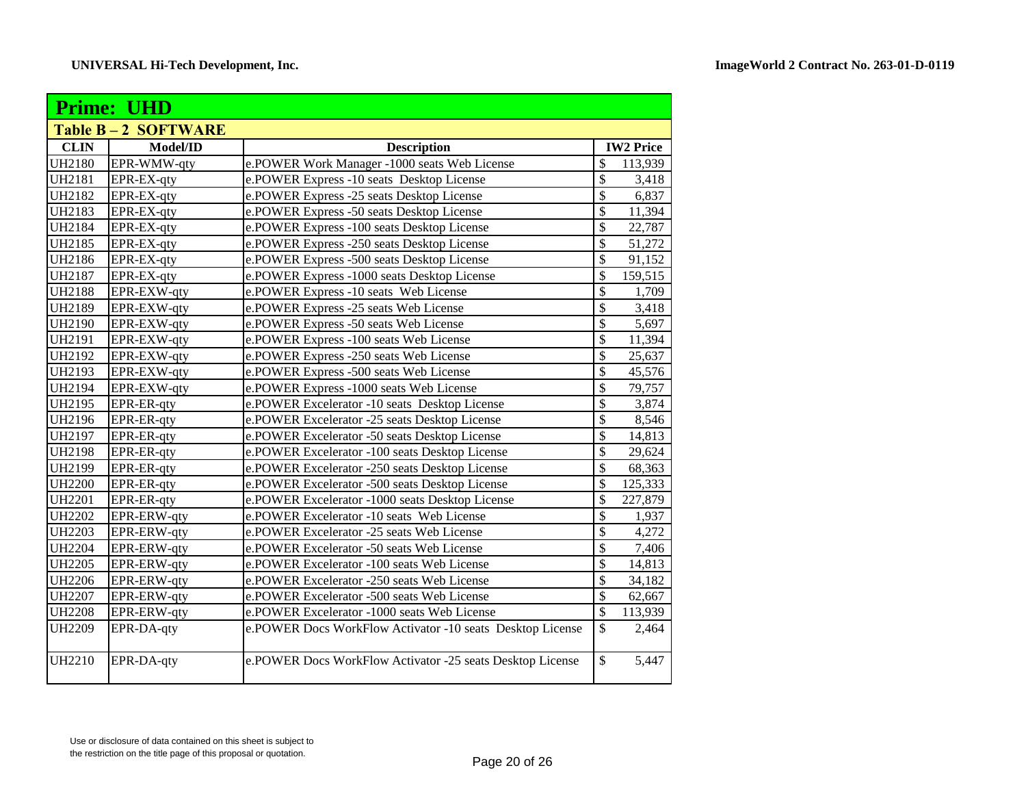| <b>Prime: UHD</b> |                           |                                                           |                 |                  |  |
|-------------------|---------------------------|-----------------------------------------------------------|-----------------|------------------|--|
|                   | <b>Table B-2 SOFTWARE</b> |                                                           |                 |                  |  |
| <b>CLIN</b>       | Model/ID                  | <b>Description</b>                                        |                 | <b>IW2 Price</b> |  |
| <b>UH2180</b>     | EPR-WMW-qty               | e.POWER Work Manager -1000 seats Web License              | \$              | 113,939          |  |
| UH2181            | EPR-EX-qty                | e.POWER Express -10 seats Desktop License                 | $\overline{\$}$ | 3,418            |  |
| <b>UH2182</b>     | EPR-EX-qty                | e.POWER Express -25 seats Desktop License                 | $\overline{\$}$ | 6,837            |  |
| <b>UH2183</b>     | EPR-EX-qty                | e.POWER Express -50 seats Desktop License                 | $\overline{\$}$ | 11,394           |  |
| <b>UH2184</b>     | EPR-EX-qty                | e.POWER Express -100 seats Desktop License                | $\overline{\$}$ | 22,787           |  |
| UH2185            | EPR-EX-qty                | e.POWER Express -250 seats Desktop License                | \$              | 51,272           |  |
| <b>UH2186</b>     | EPR-EX-qty                | e.POWER Express -500 seats Desktop License                | $\overline{\$}$ | 91,152           |  |
| <b>UH2187</b>     | EPR-EX-qty                | e.POWER Express -1000 seats Desktop License               | \$              | 159,515          |  |
| <b>UH2188</b>     | EPR-EXW-qty               | e.POWER Express -10 seats Web License                     | \$              | 1,709            |  |
| <b>UH2189</b>     | EPR-EXW-qty               | e.POWER Express -25 seats Web License                     | \$              | 3,418            |  |
| <b>UH2190</b>     | EPR-EXW-qty               | e.POWER Express -50 seats Web License                     | \$              | 5,697            |  |
| UH2191            | EPR-EXW-qty               | e.POWER Express -100 seats Web License                    | $\overline{\$}$ | 11,394           |  |
| UH2192            | EPR-EXW-qty               | e.POWER Express -250 seats Web License                    | \$              | 25,637           |  |
| UH2193            | EPR-EXW-qty               | e.POWER Express -500 seats Web License                    | \$              | 45,576           |  |
| UH2194            | EPR-EXW-qty               | e.POWER Express -1000 seats Web License                   | $\overline{\$}$ | 79,757           |  |
| UH2195            | EPR-ER-qty                | e.POWER Excelerator -10 seats Desktop License             | \$              | 3,874            |  |
| <b>UH2196</b>     | EPR-ER-qty                | e.POWER Excelerator -25 seats Desktop License             | $\overline{\$}$ | 8,546            |  |
| <b>UH2197</b>     | EPR-ER-qty                | e.POWER Excelerator -50 seats Desktop License             | $\overline{\$}$ | 14,813           |  |
| <b>UH2198</b>     | EPR-ER-qty                | e.POWER Excelerator -100 seats Desktop License            | \$              | 29,624           |  |
| <b>UH2199</b>     | EPR-ER-qty                | e.POWER Excelerator -250 seats Desktop License            | \$              | 68,363           |  |
| <b>UH2200</b>     | EPR-ER-qty                | e.POWER Excelerator -500 seats Desktop License            | \$              | 125,333          |  |
| <b>UH2201</b>     | EPR-ER-qty                | e.POWER Excelerator -1000 seats Desktop License           | \$              | 227,879          |  |
| <b>UH2202</b>     | EPR-ERW-qty               | e.POWER Excelerator -10 seats Web License                 | \$              | 1,937            |  |
| <b>UH2203</b>     | EPR-ERW-qty               | e.POWER Excelerator -25 seats Web License                 | \$              | 4,272            |  |
| <b>UH2204</b>     | EPR-ERW-qty               | e.POWER Excelerator -50 seats Web License                 | \$              | 7,406            |  |
| <b>UH2205</b>     | EPR-ERW-qty               | e.POWER Excelerator -100 seats Web License                | \$              | 14,813           |  |
| <b>UH2206</b>     | EPR-ERW-qty               | e.POWER Excelerator -250 seats Web License                | \$              | 34,182           |  |
| <b>UH2207</b>     | EPR-ERW-qty               | e.POWER Excelerator -500 seats Web License                | \$              | 62,667           |  |
| <b>UH2208</b>     | EPR-ERW-qty               | e.POWER Excelerator -1000 seats Web License               | \$              | 113,939          |  |
| <b>UH2209</b>     | EPR-DA-qty                | e.POWER Docs WorkFlow Activator -10 seats Desktop License | \$              | 2,464            |  |
| <b>UH2210</b>     | EPR-DA-qty                | e.POWER Docs WorkFlow Activator -25 seats Desktop License | \$              | 5,447            |  |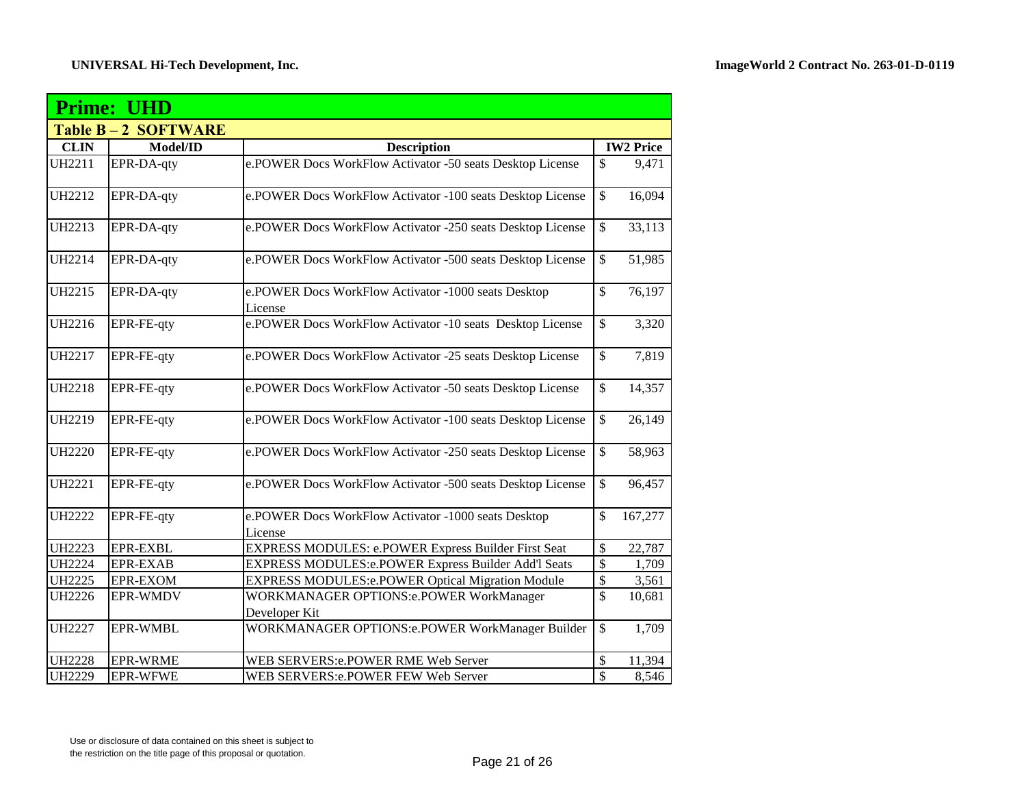|               | <b>Prime: UHD</b>  |                                                                 |                 |                  |  |  |
|---------------|--------------------|-----------------------------------------------------------------|-----------------|------------------|--|--|
|               | Table B-2 SOFTWARE |                                                                 |                 |                  |  |  |
| <b>CLIN</b>   | Model/ID           | <b>Description</b>                                              |                 | <b>IW2</b> Price |  |  |
| <b>UH2211</b> | EPR-DA-qty         | e.POWER Docs WorkFlow Activator -50 seats Desktop License       | \$              | 9,471            |  |  |
| <b>UH2212</b> | EPR-DA-qty         | e.POWER Docs WorkFlow Activator -100 seats Desktop License      | $\overline{\$}$ | 16,094           |  |  |
| <b>UH2213</b> | EPR-DA-qty         | e.POWER Docs WorkFlow Activator -250 seats Desktop License      | \$              | 33,113           |  |  |
| <b>UH2214</b> | EPR-DA-qty         | e.POWER Docs WorkFlow Activator -500 seats Desktop License      | $\mathbb{S}$    | 51,985           |  |  |
| <b>UH2215</b> | EPR-DA-qty         | e.POWER Docs WorkFlow Activator -1000 seats Desktop<br>License  | \$              | 76,197           |  |  |
| <b>UH2216</b> | EPR-FE-qty         | e.POWER Docs WorkFlow Activator -10 seats Desktop License       | \$              | 3,320            |  |  |
| UH2217        | EPR-FE-qty         | e.POWER Docs WorkFlow Activator -25 seats Desktop License       | \$              | 7,819            |  |  |
| <b>UH2218</b> | EPR-FE-qty         | e.POWER Docs WorkFlow Activator -50 seats Desktop License       | \$              | 14,357           |  |  |
| <b>UH2219</b> | EPR-FE-qty         | e.POWER Docs WorkFlow Activator -100 seats Desktop License      | $\mathbb{S}$    | 26,149           |  |  |
| <b>UH2220</b> | EPR-FE-qty         | e.POWER Docs WorkFlow Activator -250 seats Desktop License      | $\mathbb{S}$    | 58,963           |  |  |
| <b>UH2221</b> | EPR-FE-qty         | e.POWER Docs WorkFlow Activator -500 seats Desktop License      | $\mathbb{S}$    | 96,457           |  |  |
| <b>UH2222</b> | EPR-FE-qty         | e.POWER Docs WorkFlow Activator -1000 seats Desktop<br>License  | \$              | 167,277          |  |  |
| <b>UH2223</b> | <b>EPR-EXBL</b>    | EXPRESS MODULES: e.POWER Express Builder First Seat             | \$              | 22,787           |  |  |
| <b>UH2224</b> | <b>EPR-EXAB</b>    | <b>EXPRESS MODULES:e.POWER Express Builder Add'l Seats</b>      | \$              | 1,709            |  |  |
| <b>UH2225</b> | <b>EPR-EXOM</b>    | <b>EXPRESS MODULES:e.POWER Optical Migration Module</b>         | \$              | 3,561            |  |  |
| <b>UH2226</b> | <b>EPR-WMDV</b>    | <b>WORKMANAGER OPTIONS:e.POWER WorkManager</b><br>Developer Kit | \$              | 10,681           |  |  |
| <b>UH2227</b> | <b>EPR-WMBL</b>    | <b>WORKMANAGER OPTIONS:e.POWER WorkManager Builder</b>          | \$              | 1,709            |  |  |
| <b>UH2228</b> | <b>EPR-WRME</b>    | WEB SERVERS:e.POWER RME Web Server                              | \$              | 11,394           |  |  |
| <b>UH2229</b> | <b>EPR-WFWE</b>    | WEB SERVERS:e.POWER FEW Web Server                              | \$              | 8,546            |  |  |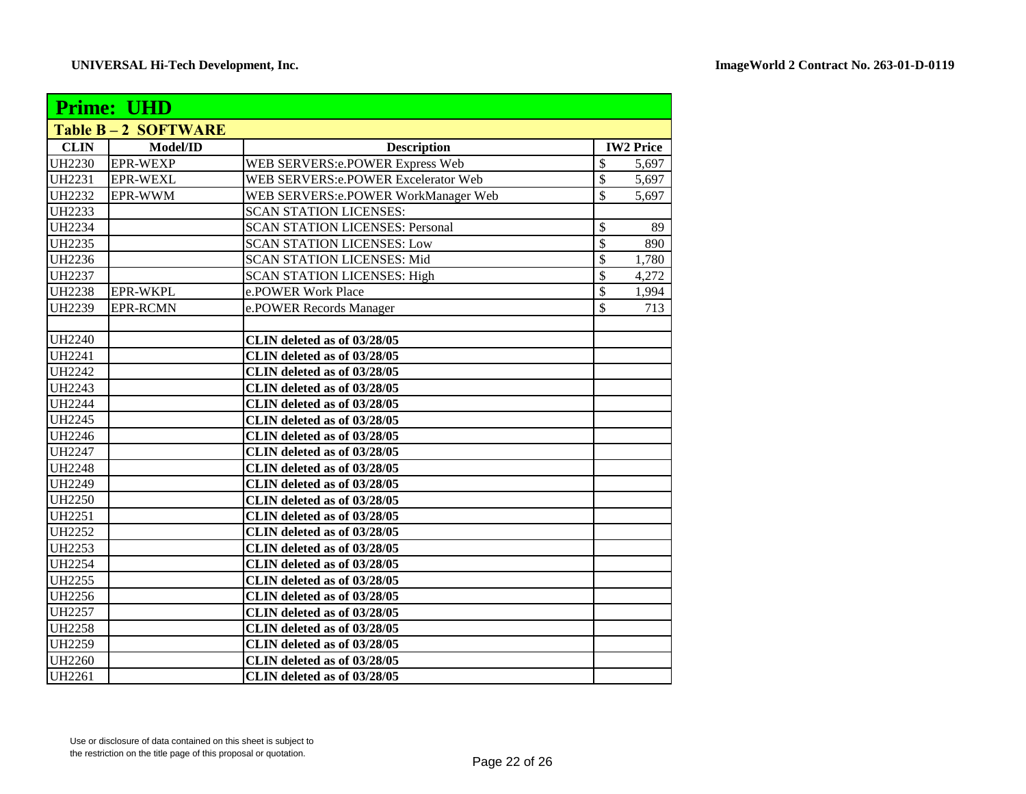| <b>Prime: UHD</b> |                    |                                            |                           |                  |
|-------------------|--------------------|--------------------------------------------|---------------------------|------------------|
|                   | Table B-2 SOFTWARE |                                            |                           |                  |
| <b>CLIN</b>       | Model/ID           | <b>Description</b>                         |                           | <b>IW2 Price</b> |
| <b>UH2230</b>     | <b>EPR-WEXP</b>    | WEB SERVERS:e.POWER Express Web            | $\overline{\mathcal{S}}$  | 5,697            |
| <b>UH2231</b>     | <b>EPR-WEXL</b>    | WEB SERVERS:e.POWER Excelerator Web        | $\overline{\mathcal{S}}$  | 5,697            |
| <b>UH2232</b>     | EPR-WWM            | <b>WEB SERVERS:e.POWER WorkManager Web</b> | $\overline{\mathcal{S}}$  | 5,697            |
| <b>UH2233</b>     |                    | <b>SCAN STATION LICENSES:</b>              |                           |                  |
| <b>UH2234</b>     |                    | <b>SCAN STATION LICENSES: Personal</b>     | $\boldsymbol{\mathsf{S}}$ | 89               |
| <b>UH2235</b>     |                    | <b>SCAN STATION LICENSES: Low</b>          | $\mathcal{S}$             | 890              |
| <b>UH2236</b>     |                    | <b>SCAN STATION LICENSES: Mid</b>          | $\boldsymbol{\mathsf{S}}$ | 1,780            |
| <b>UH2237</b>     |                    | <b>SCAN STATION LICENSES: High</b>         | $\mathcal{S}$             | 4,272            |
| <b>UH2238</b>     | <b>EPR-WKPL</b>    | e.POWER Work Place                         | $\overline{\mathcal{S}}$  | 1,994            |
| <b>UH2239</b>     | <b>EPR-RCMN</b>    | e.POWER Records Manager                    | \$                        | 713              |
|                   |                    |                                            |                           |                  |
| <b>UH2240</b>     |                    | CLIN deleted as of 03/28/05                |                           |                  |
| <b>UH2241</b>     |                    | CLIN deleted as of 03/28/05                |                           |                  |
| <b>UH2242</b>     |                    | CLIN deleted as of 03/28/05                |                           |                  |
| <b>UH2243</b>     |                    | CLIN deleted as of 03/28/05                |                           |                  |
| <b>UH2244</b>     |                    | CLIN deleted as of 03/28/05                |                           |                  |
| <b>UH2245</b>     |                    | CLIN deleted as of 03/28/05                |                           |                  |
| <b>UH2246</b>     |                    | CLIN deleted as of 03/28/05                |                           |                  |
| <b>UH2247</b>     |                    | CLIN deleted as of 03/28/05                |                           |                  |
| <b>UH2248</b>     |                    | CLIN deleted as of 03/28/05                |                           |                  |
| <b>UH2249</b>     |                    | CLIN deleted as of 03/28/05                |                           |                  |
| <b>UH2250</b>     |                    | CLIN deleted as of 03/28/05                |                           |                  |
| <b>UH2251</b>     |                    | CLIN deleted as of 03/28/05                |                           |                  |
| <b>UH2252</b>     |                    | CLIN deleted as of 03/28/05                |                           |                  |
| <b>UH2253</b>     |                    | CLIN deleted as of 03/28/05                |                           |                  |
| <b>UH2254</b>     |                    | CLIN deleted as of 03/28/05                |                           |                  |
| <b>UH2255</b>     |                    | CLIN deleted as of 03/28/05                |                           |                  |
| <b>UH2256</b>     |                    | CLIN deleted as of 03/28/05                |                           |                  |
| <b>UH2257</b>     |                    | CLIN deleted as of 03/28/05                |                           |                  |
| <b>UH2258</b>     |                    | CLIN deleted as of 03/28/05                |                           |                  |
| <b>UH2259</b>     |                    | CLIN deleted as of 03/28/05                |                           |                  |
| <b>UH2260</b>     |                    | CLIN deleted as of 03/28/05                |                           |                  |
| <b>UH2261</b>     |                    | CLIN deleted as of 03/28/05                |                           |                  |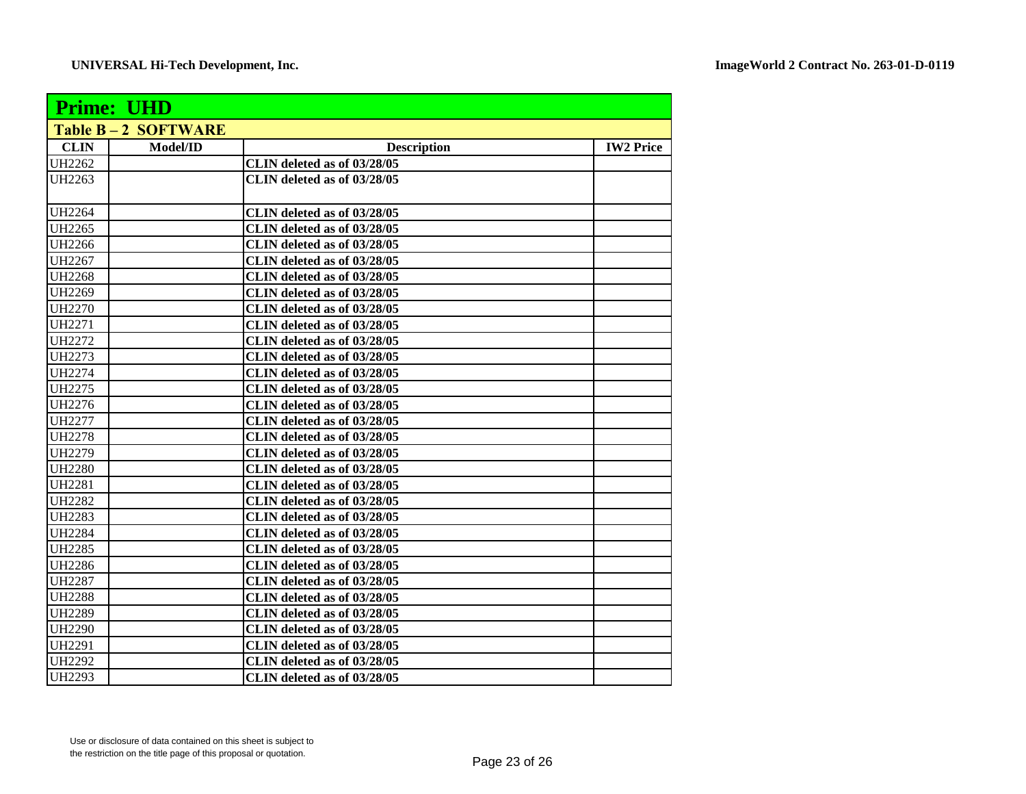| <b>Prime: UHD</b> |                           |                             |                  |  |
|-------------------|---------------------------|-----------------------------|------------------|--|
|                   | <b>Table B-2 SOFTWARE</b> |                             |                  |  |
| <b>CLIN</b>       | Model/ID                  | <b>Description</b>          | <b>IW2 Price</b> |  |
| <b>UH2262</b>     |                           | CLIN deleted as of 03/28/05 |                  |  |
| <b>UH2263</b>     |                           | CLIN deleted as of 03/28/05 |                  |  |
| <b>UH2264</b>     |                           | CLIN deleted as of 03/28/05 |                  |  |
| UH2265            |                           | CLIN deleted as of 03/28/05 |                  |  |
| <b>UH2266</b>     |                           | CLIN deleted as of 03/28/05 |                  |  |
| <b>UH2267</b>     |                           | CLIN deleted as of 03/28/05 |                  |  |
| <b>UH2268</b>     |                           | CLIN deleted as of 03/28/05 |                  |  |
| <b>UH2269</b>     |                           | CLIN deleted as of 03/28/05 |                  |  |
| <b>UH2270</b>     |                           | CLIN deleted as of 03/28/05 |                  |  |
| <b>UH2271</b>     |                           | CLIN deleted as of 03/28/05 |                  |  |
| <b>UH2272</b>     |                           | CLIN deleted as of 03/28/05 |                  |  |
| <b>UH2273</b>     |                           | CLIN deleted as of 03/28/05 |                  |  |
| <b>UH2274</b>     |                           | CLIN deleted as of 03/28/05 |                  |  |
| <b>UH2275</b>     |                           | CLIN deleted as of 03/28/05 |                  |  |
| <b>UH2276</b>     |                           | CLIN deleted as of 03/28/05 |                  |  |
| <b>UH2277</b>     |                           | CLIN deleted as of 03/28/05 |                  |  |
| <b>UH2278</b>     |                           | CLIN deleted as of 03/28/05 |                  |  |
| <b>UH2279</b>     |                           | CLIN deleted as of 03/28/05 |                  |  |
| <b>UH2280</b>     |                           | CLIN deleted as of 03/28/05 |                  |  |
| <b>UH2281</b>     |                           | CLIN deleted as of 03/28/05 |                  |  |
| <b>UH2282</b>     |                           | CLIN deleted as of 03/28/05 |                  |  |
| <b>UH2283</b>     |                           | CLIN deleted as of 03/28/05 |                  |  |
| <b>UH2284</b>     |                           | CLIN deleted as of 03/28/05 |                  |  |
| <b>UH2285</b>     |                           | CLIN deleted as of 03/28/05 |                  |  |
| <b>UH2286</b>     |                           | CLIN deleted as of 03/28/05 |                  |  |
| <b>UH2287</b>     |                           | CLIN deleted as of 03/28/05 |                  |  |
| <b>UH2288</b>     |                           | CLIN deleted as of 03/28/05 |                  |  |
| <b>UH2289</b>     |                           | CLIN deleted as of 03/28/05 |                  |  |
| <b>UH2290</b>     |                           | CLIN deleted as of 03/28/05 |                  |  |
| <b>UH2291</b>     |                           | CLIN deleted as of 03/28/05 |                  |  |
| <b>UH2292</b>     |                           | CLIN deleted as of 03/28/05 |                  |  |
| UH2293            |                           | CLIN deleted as of 03/28/05 |                  |  |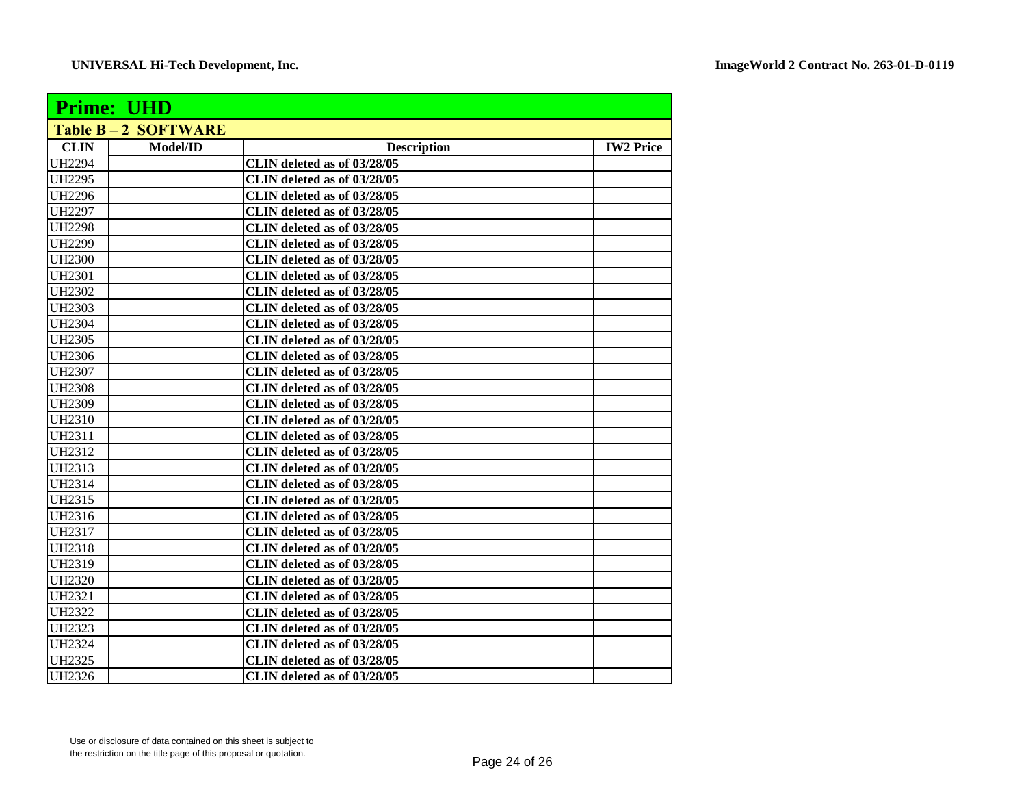| <b>Prime: UHD</b> |                           |                             |                  |  |
|-------------------|---------------------------|-----------------------------|------------------|--|
|                   | <b>Table B-2 SOFTWARE</b> |                             |                  |  |
| <b>CLIN</b>       | Model/ID                  | <b>Description</b>          | <b>IW2 Price</b> |  |
| <b>UH2294</b>     |                           | CLIN deleted as of 03/28/05 |                  |  |
| <b>UH2295</b>     |                           | CLIN deleted as of 03/28/05 |                  |  |
| <b>UH2296</b>     |                           | CLIN deleted as of 03/28/05 |                  |  |
| <b>UH2297</b>     |                           | CLIN deleted as of 03/28/05 |                  |  |
| <b>UH2298</b>     |                           | CLIN deleted as of 03/28/05 |                  |  |
| UH2299            |                           | CLIN deleted as of 03/28/05 |                  |  |
| <b>UH2300</b>     |                           | CLIN deleted as of 03/28/05 |                  |  |
| <b>UH2301</b>     |                           | CLIN deleted as of 03/28/05 |                  |  |
| <b>UH2302</b>     |                           | CLIN deleted as of 03/28/05 |                  |  |
| <b>UH2303</b>     |                           | CLIN deleted as of 03/28/05 |                  |  |
| <b>UH2304</b>     |                           | CLIN deleted as of 03/28/05 |                  |  |
| <b>UH2305</b>     |                           | CLIN deleted as of 03/28/05 |                  |  |
| <b>UH2306</b>     |                           | CLIN deleted as of 03/28/05 |                  |  |
| <b>UH2307</b>     |                           | CLIN deleted as of 03/28/05 |                  |  |
| <b>UH2308</b>     |                           | CLIN deleted as of 03/28/05 |                  |  |
| <b>UH2309</b>     |                           | CLIN deleted as of 03/28/05 |                  |  |
| <b>UH2310</b>     |                           | CLIN deleted as of 03/28/05 |                  |  |
| UH2311            |                           | CLIN deleted as of 03/28/05 |                  |  |
| <b>UH2312</b>     |                           | CLIN deleted as of 03/28/05 |                  |  |
| <b>UH2313</b>     |                           | CLIN deleted as of 03/28/05 |                  |  |
| <b>UH2314</b>     |                           | CLIN deleted as of 03/28/05 |                  |  |
| <b>UH2315</b>     |                           | CLIN deleted as of 03/28/05 |                  |  |
| <b>UH2316</b>     |                           | CLIN deleted as of 03/28/05 |                  |  |
| <b>UH2317</b>     |                           | CLIN deleted as of 03/28/05 |                  |  |
| <b>UH2318</b>     |                           | CLIN deleted as of 03/28/05 |                  |  |
| <b>UH2319</b>     |                           | CLIN deleted as of 03/28/05 |                  |  |
| <b>UH2320</b>     |                           | CLIN deleted as of 03/28/05 |                  |  |
| <b>UH2321</b>     |                           | CLIN deleted as of 03/28/05 |                  |  |
| <b>UH2322</b>     |                           | CLIN deleted as of 03/28/05 |                  |  |
| <b>UH2323</b>     |                           | CLIN deleted as of 03/28/05 |                  |  |
| <b>UH2324</b>     |                           | CLIN deleted as of 03/28/05 |                  |  |
| <b>UH2325</b>     |                           | CLIN deleted as of 03/28/05 |                  |  |
| UH2326            |                           | CLIN deleted as of 03/28/05 |                  |  |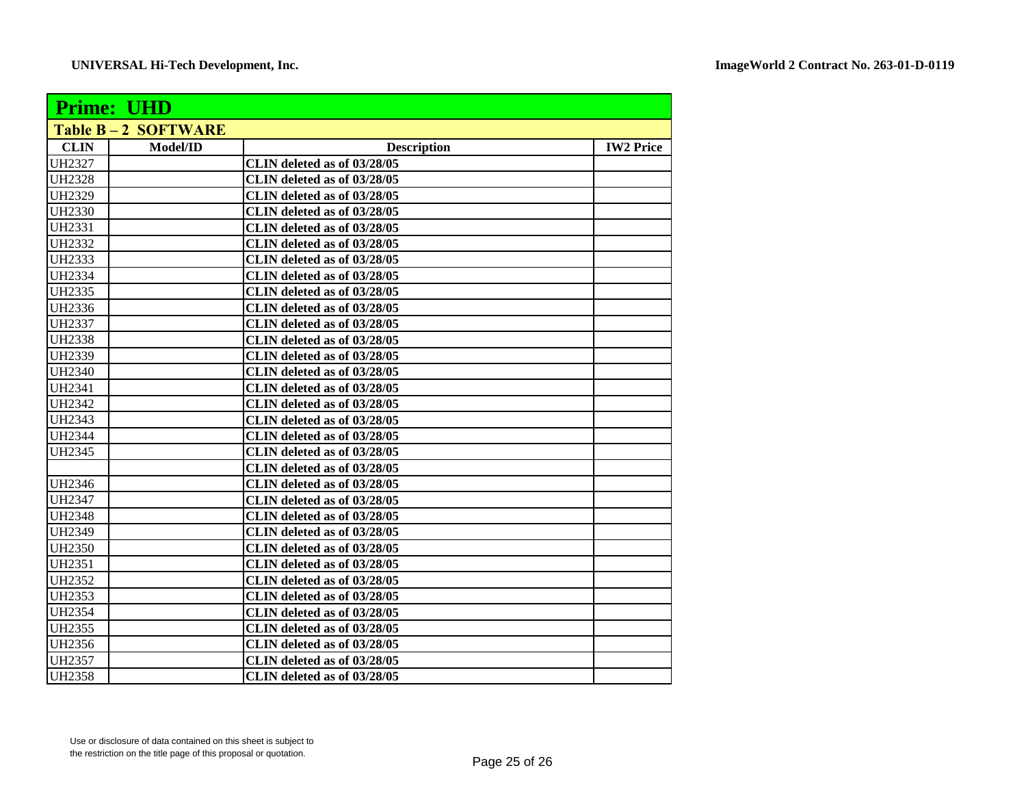| <b>Prime: UHD</b>         |          |                             |                  |  |  |
|---------------------------|----------|-----------------------------|------------------|--|--|
| <b>Table B-2 SOFTWARE</b> |          |                             |                  |  |  |
| <b>CLIN</b>               | Model/ID | <b>Description</b>          | <b>IW2 Price</b> |  |  |
| <b>UH2327</b>             |          | CLIN deleted as of 03/28/05 |                  |  |  |
| <b>UH2328</b>             |          | CLIN deleted as of 03/28/05 |                  |  |  |
| <b>UH2329</b>             |          | CLIN deleted as of 03/28/05 |                  |  |  |
| <b>UH2330</b>             |          | CLIN deleted as of 03/28/05 |                  |  |  |
| <b>UH2331</b>             |          | CLIN deleted as of 03/28/05 |                  |  |  |
| UH2332                    |          | CLIN deleted as of 03/28/05 |                  |  |  |
| <b>UH2333</b>             |          | CLIN deleted as of 03/28/05 |                  |  |  |
| <b>UH2334</b>             |          | CLIN deleted as of 03/28/05 |                  |  |  |
| <b>UH2335</b>             |          | CLIN deleted as of 03/28/05 |                  |  |  |
| <b>UH2336</b>             |          | CLIN deleted as of 03/28/05 |                  |  |  |
| <b>UH2337</b>             |          | CLIN deleted as of 03/28/05 |                  |  |  |
| <b>UH2338</b>             |          | CLIN deleted as of 03/28/05 |                  |  |  |
| <b>UH2339</b>             |          | CLIN deleted as of 03/28/05 |                  |  |  |
| <b>UH2340</b>             |          | CLIN deleted as of 03/28/05 |                  |  |  |
| <b>UH2341</b>             |          | CLIN deleted as of 03/28/05 |                  |  |  |
| <b>UH2342</b>             |          | CLIN deleted as of 03/28/05 |                  |  |  |
| <b>UH2343</b>             |          | CLIN deleted as of 03/28/05 |                  |  |  |
| <b>UH2344</b>             |          | CLIN deleted as of 03/28/05 |                  |  |  |
| <b>UH2345</b>             |          | CLIN deleted as of 03/28/05 |                  |  |  |
|                           |          | CLIN deleted as of 03/28/05 |                  |  |  |
| <b>UH2346</b>             |          | CLIN deleted as of 03/28/05 |                  |  |  |
| <b>UH2347</b>             |          | CLIN deleted as of 03/28/05 |                  |  |  |
| <b>UH2348</b>             |          | CLIN deleted as of 03/28/05 |                  |  |  |
| <b>UH2349</b>             |          | CLIN deleted as of 03/28/05 |                  |  |  |
| <b>UH2350</b>             |          | CLIN deleted as of 03/28/05 |                  |  |  |
| <b>UH2351</b>             |          | CLIN deleted as of 03/28/05 |                  |  |  |
| <b>UH2352</b>             |          | CLIN deleted as of 03/28/05 |                  |  |  |
| <b>UH2353</b>             |          | CLIN deleted as of 03/28/05 |                  |  |  |
| <b>UH2354</b>             |          | CLIN deleted as of 03/28/05 |                  |  |  |
| <b>UH2355</b>             |          | CLIN deleted as of 03/28/05 |                  |  |  |
| <b>UH2356</b>             |          | CLIN deleted as of 03/28/05 |                  |  |  |
| <b>UH2357</b>             |          | CLIN deleted as of 03/28/05 |                  |  |  |
| <b>UH2358</b>             |          | CLIN deleted as of 03/28/05 |                  |  |  |